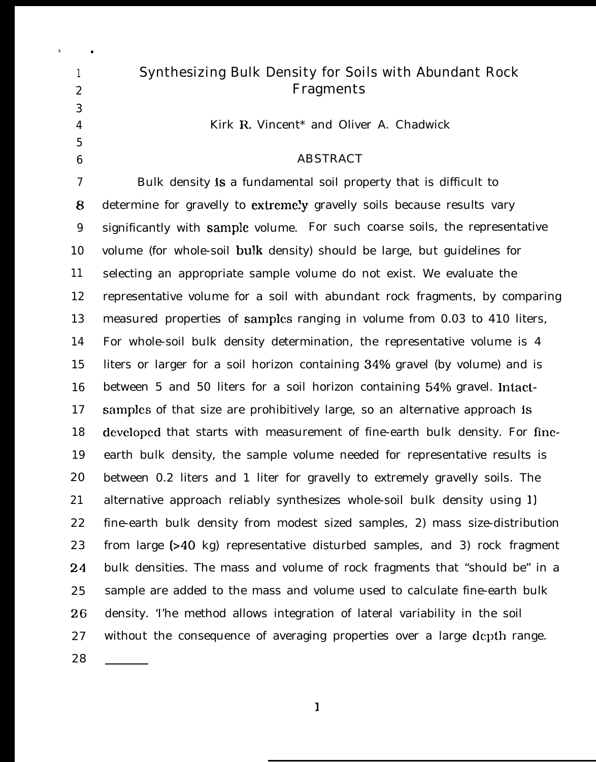| $\mathbf{1}$                      | <b>Synthesizing Bulk Density for Soils with Abundant Rock</b>                |
|-----------------------------------|------------------------------------------------------------------------------|
| $\boldsymbol{2}$                  | <b>Fragments</b>                                                             |
| 3                                 |                                                                              |
| $\overline{4}$                    | Kirk R. Vincent* and Oliver A. Chadwick                                      |
| $\overline{5}$<br>$6\phantom{1}6$ | <b>ABSTRACT</b>                                                              |
| 7                                 | Bulk density is a fundamental soil property that is difficult to             |
| 8                                 | determine for gravelly to extremely gravelly soils because results vary      |
| 9                                 | significantly with sample volume. For such coarse soils, the representative  |
| 10                                | volume (for whole-soil bulk density) should be large, but guidelines for     |
| 11                                | selecting an appropriate sample volume do not exist. We evaluate the         |
| 12                                | representative volume for a soil with abundant rock fragments, by comparing  |
| 13                                | measured properties of samples ranging in volume from 0.03 to 410 liters,    |
| 14                                | For whole-soil bulk density determination, the representative volume is 4    |
| 15                                | liters or larger for a soil horizon containing 34% gravel (by volume) and is |
| 16                                | between 5 and 50 liters for a soil horizon containing 54% gravel. Intact-    |
| 17                                | samples of that size are prohibitively large, so an alternative approach is  |
| 18                                | developed that starts with measurement of fine-earth bulk density. For fine- |
| 19                                | earth bulk density, the sample volume needed for representative results is   |
| 20                                | between 0.2 liters and 1 liter for gravelly to extremely gravelly soils. The |
| 21                                | alternative approach reliably synthesizes whole-soil bulk density using 1)   |
| 22                                | fine-earth bulk density from modest sized samples, 2) mass size-distribution |
| 23                                | from large (>40 kg) representative disturbed samples, and 3) rock fragment   |
| 24                                | bulk densities. The mass and volume of rock fragments that "should be" in a  |
| 25                                | sample are added to the mass and volume used to calculate fine-earth bulk    |
| 26                                | density. The method allows integration of lateral variability in the soil    |
| 27                                | without the consequence of averaging properties over a large depth range.    |
| 28                                |                                                                              |

**A** ●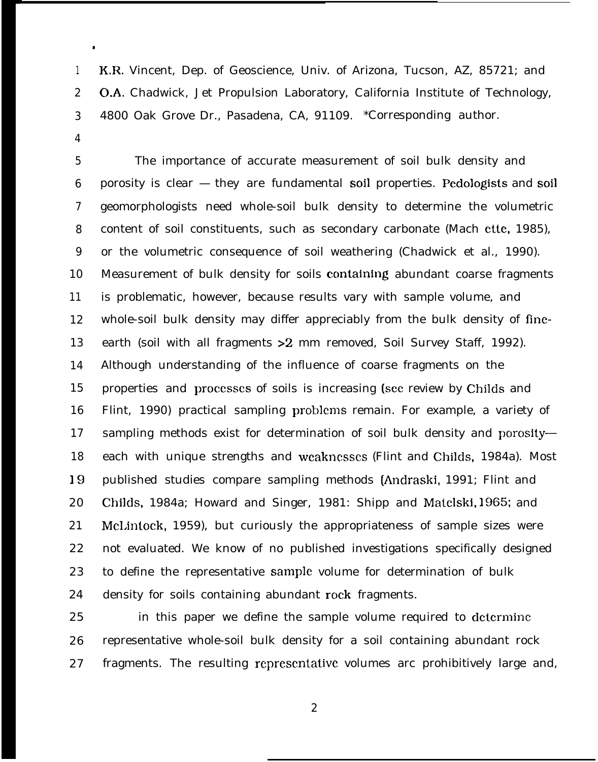1 2 3 K,R. Vincent, Dep. of Geoscience, Univ. of Arizona, Tucson, AZ, 85721; and O.A. Chadwick, Jet Propulsion Laboratory, California Institute of Technology, 4800 Oak Grove Dr., Pasadena, CA, 91109. \*Corresponding author.

4

\*

5 6 7 8 9 10 11 12 13 14 15 16 17 18 19 20 21 22 23 24 The importance of accurate measurement of soil bulk density and porosity is clear  $-$  they are fundamental soil properties. Pedologists and soil geomorphologists need whole-soil bulk density to determine the volumetric content of soil constituents, such as secondary carbonate (Mach ette, 1985), or the volumetric consequence of soil weathering (Chadwick et al., 1990). Measurement of bulk density for soils containing abundant coarse fragments is problematic, however, because results vary with sample volume, and whole-soil bulk density may differ appreciably from the bulk density of fineearth (soil with all fragments > 2 mm removed, Soil Survey Staff, 1992). Although understanding of the influence of coarse fragments on the properties and processes of soils is increasing (see review by Childs and Flint, 1990) practical sampling problems remain. For example, a variety of sampling methods exist for determination of soil bulk density and porosity each with unique strengths and wcakncsscs (Flint and Childs, 1984a). Most published studies compare sampling methods (Andraski, 1991; Flint and Childs, 1984a; Howard and Singer, 1981: Shipp and Matclski, 1965; and McLintock, 1959), but curiously the appropriateness of sample sizes were not evaluated. We know of no published investigations specifically designed to define the representative sarnplc volume for determination of bulk density for soils containing abundant rock fragments.

25 26 27 in this paper we define the sample volume required to dctcrminc representative whole-soil bulk density for a soil containing abundant rock fragments. The resulting rcprescntativc volumes arc prohibitively large and,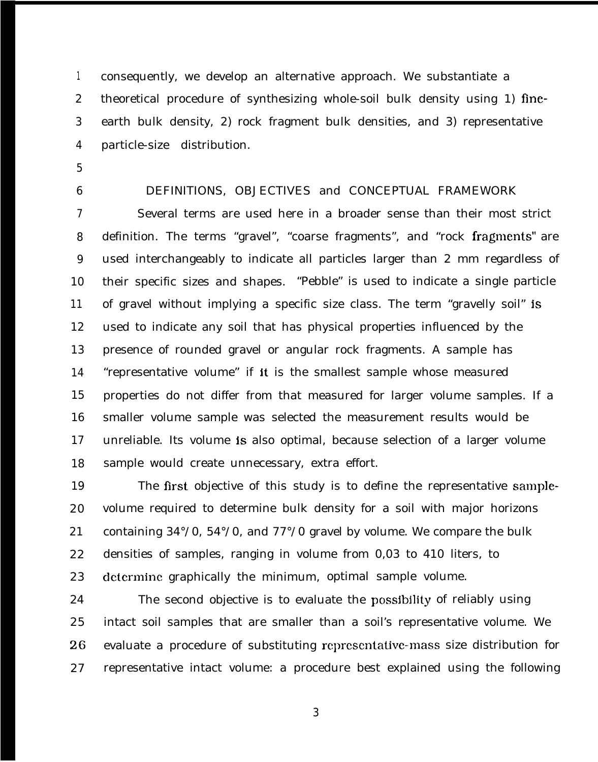1 2 3 4 consequently, we develop an alternative approach. We substantiate a theoretical procedure of synthesizing whole-soil bulk density using 1) fineearth bulk density, 2) rock fragment bulk densities, and 3) representative particle-size distribution.

- 5
- 6

#### DEFINITIONS, OBJECTIVES and CONCEPTUAL FRAMEWORK

7 8 9 10 11 12 13 14 15 16 17 18 Several terms are used here in a broader sense than their most strict definition. The terms "gravel", "coarse fragments", and "rock fragments" are used interchangeably to indicate all particles larger than 2 mm regardless of their specific sizes and shapes. "Pebble" is used to indicate a single particle of gravel without implying a specific size class. The term "gravelly soil" is used to indicate any soil that has physical properties influenced by the presence of rounded gravel or angular rock fragments. A sample has "representative volume" if it is the smallest sample whose measured properties do not differ from that measured for larger volume samples. If a smaller volume sample was selected the measurement results would be unreliable. Its volume is also optimal, because selection of a larger volume sample would create unnecessary, extra effort.

19 20 21 22 23 The first objective of this study is to define the representative samplevolume required to determine bulk density for a soil with major horizons containing 34°/0, 54°/0, and 77°/0 gravel by volume. We compare the bulk densities of samples, ranging in volume from 0,03 to 410 liters, to determine graphically the minimum, optimal sample volume.

24 25 26 27 The second objective is to evaluate the possjbjlity of reliably using intact soil samples that are smaller than a soil's representative volume. We evaluate a procedure of substituting rcprcscntative-mass size distribution for representative intact volume: a procedure best explained using the following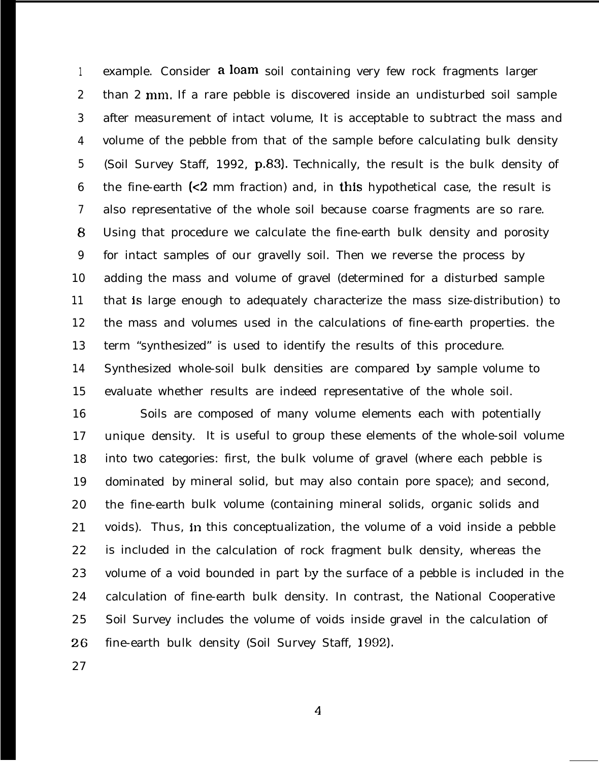1 2 3 4 5 6 7 8 9 10 11 12 13 14 15 example. Consider a loam soil containing very few rock fragments larger than 2 mm. If a rare pebble is discovered inside an undisturbed soil sample after measurement of intact volume, It is acceptable to subtract the mass and volume of the pebble from that of the sample before calculating bulk density (Soil Survey Staff, 1992, p.83). Technically, the result is the bulk density of the fine-earth  $\leq 2$  mm fraction) and, in this hypothetical case, the result is also representative of the whole soil because coarse fragments are so rare. Using that procedure we calculate the fine-earth bulk density and porosity for intact samples of our gravelly soil. Then we reverse the process by adding the mass and volume of gravel (determined for a disturbed sample that is large enough to adequately characterize the mass size-distribution) to the mass and volumes used in the calculations of fine-earth properties. the term "synthesized" is used to identify the results of this procedure. Synthesized whole-soil bulk densities are compared by sample volume to evaluate whether results are indeed representative of the whole soil.

16 17 18 19 20 21 22 23 24 25 26 Soils are composed of many volume elements each with potentially unique density. It is useful to group these elements of the whole-soil volume into two categories: first, the bulk volume of gravel (where each pebble is dominated by mineral solid, but may also contain pore space); and second, the fine-earth bulk volume (containing mineral solids, organic solids and voids). Thus, in this conceptualization, the volume of a void inside a pebble is included in the calculation of rock fragment bulk density, whereas the volume of a void bounded in part by the surface of a pebble is included in the calculation of fine-earth bulk density. In contrast, the National Cooperative Soil Survey includes the volume of voids inside gravel in the calculation of fine-earth bulk density (Soil Survey Staff, 1992).

27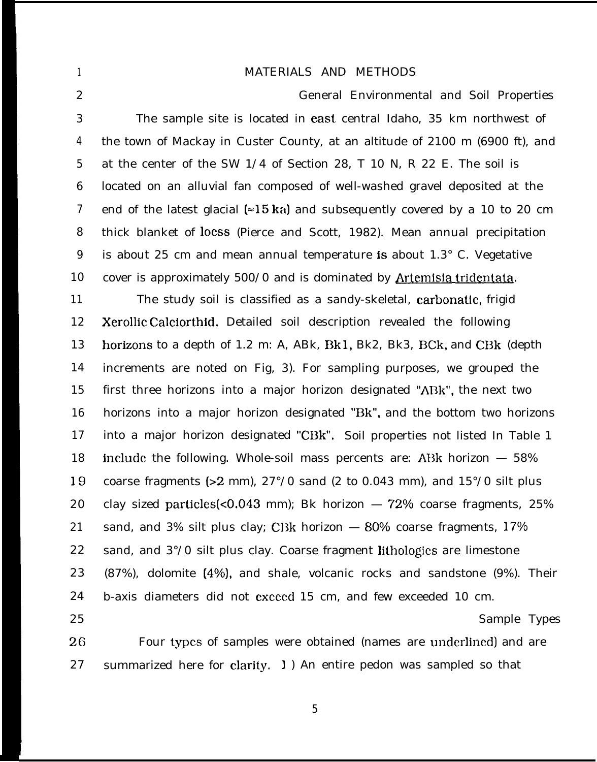### MATERIALS AND METHODS

1

| $\boldsymbol{2}$ | <b>General Environmental and Soil Properties</b>                                               |
|------------------|------------------------------------------------------------------------------------------------|
| 3                | The sample site is located in east central Idaho, 35 km northwest of                           |
| $\overline{4}$   | the town of Mackay in Custer County, at an altitude of 2100 m (6900 ft), and                   |
| $\mathbf{5}$     | at the center of the SW 1/4 of Section 28, T 10 N, R 22 E. The soil is                         |
| $6\phantom{.}6$  | located on an alluvial fan composed of well-washed gravel deposited at the                     |
| $\boldsymbol{7}$ | end of the latest glacial ( $\approx$ 15 ka) and subsequently covered by a 10 to 20 cm         |
| 8                | thick blanket of loess (Pierce and Scott, 1982). Mean annual precipitation                     |
| 9                | is about 25 cm and mean annual temperature is about 1.3° C. Vegetative                         |
| 10               | cover is approximately 500/0 and is dominated by Artemisia tridentata.                         |
| 11               | The study soil is classified as a sandy-skeletal, carbonatic, frigid                           |
| 12               | Xerollic Calciorthid. Detailed soil description revealed the following                         |
| 13               | horizons to a depth of 1.2 m: A, ABk, Bk1, Bk2, Bk3, BCk, and CBk (depth                       |
| 14               | increments are noted on Fig. 3). For sampling purposes, we grouped the                         |
| 15               | first three horizons into a major horizon designated "ABk", the next two                       |
| 16               | horizons into a major horizon designated "Bk", and the bottom two horizons                     |
| 17               | into a major horizon designated "CBk". Soil properties not listed In Table 1                   |
| 18               | include the following. Whole-soil mass percents are: ABk horizon $-58\%$                       |
| 19               | coarse fragments ( $>2$ mm), $27^{\circ}/0$ sand (2 to 0.043 mm), and $15^{\circ}/0$ silt plus |
| 20               | clay sized particles(< $0.043$ mm); Bk horizon $-72%$ coarse fragments, 25%                    |
| 21               | sand, and 3% silt plus clay; CBk horizon - 80% coarse fragments, 17%                           |
| 22               | sand, and 3°/0 silt plus clay. Coarse fragment lithologies are limestone                       |
| 23               | (87%), dolomite (4%), and shale, volcanic rocks and sandstone (9%). Their                      |
| 24               | b-axis diameters did not exceed 15 cm, and few exceeded 10 cm.                                 |
| 25               | Sample Types                                                                                   |
| 26               | Four types of samples were obtained (names are underlined) and are                             |
| 27               | summarized here for clarity. 1) An entire pedon was sampled so that                            |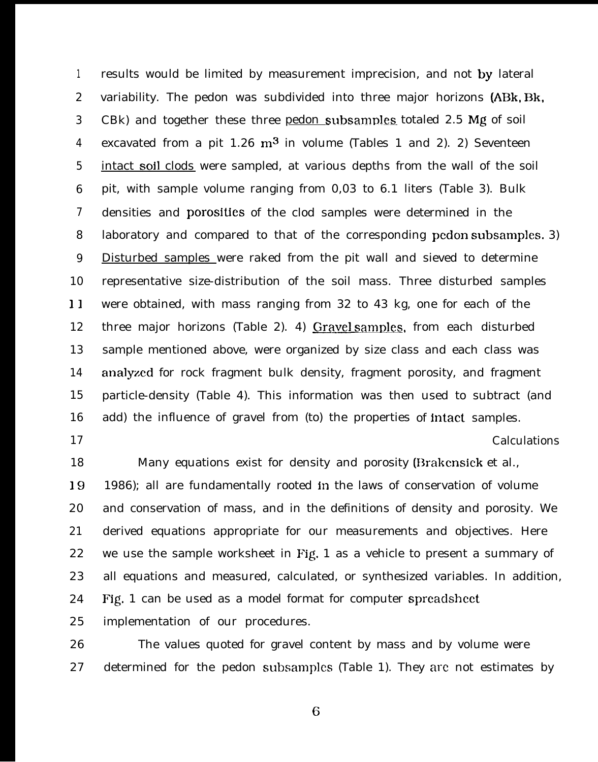1 2 3 4 5 6 7 8 9 10 11 12 13 14 15 16 17 results would be limited by measurement imprecision, and not by lateral variability. The pedon was subdivided into three major horizons (ABk, Bk, CBk) and together these three pedon subsamples totaled 2.5 Mg of soil excavated from a pit  $1.26 \text{ m}^3$  in volume (Tables 1 and 2). 2) Seventeen intact soil clods were sampled, at various depths from the wall of the soil pit, with sample volume ranging from 0,03 to 6.1 liters (Table 3). Bulk densities and porosities of the clod samples were determined in the laboratory and compared to that of the corresponding pcdon subsamples. 3) Disturbed samples were raked from the pit wall and sieved to determine representative size-distribution of the soil mass. Three disturbed samples were obtained, with mass ranging from 32 to 43 kg, one for each of the three major horizons (Table 2). 4) Gravel samples, from each disturbed sample mentioned above, were organized by size class and each class was analyzed for rock fragment bulk density, fragment porosity, and fragment particle-density (Table 4). This information was then used to subtract (and add) the influence of gravel from (to) the properties of intact samples. Calculations

18 19 20 21 22 23 24 25 Many equations exist for density and porosity (Brakcnsiek et al., 1986); all are fundamentally rooted in the laws of conservation of volume and conservation of mass, and in the definitions of density and porosity. We derived equations appropriate for our measurements and objectives. Here we use the sample worksheet in Fig, 1 as a vehicle to present a summary of all equations and measured, calculated, or synthesized variables. In addition, Fig. 1 can be used as a model format for computer sprcadshcct implementation of our procedures.

26 27 The values quoted for gravel content by mass and by volume were determined for the pedon subsamplcs (Table 1). They arc not estimates by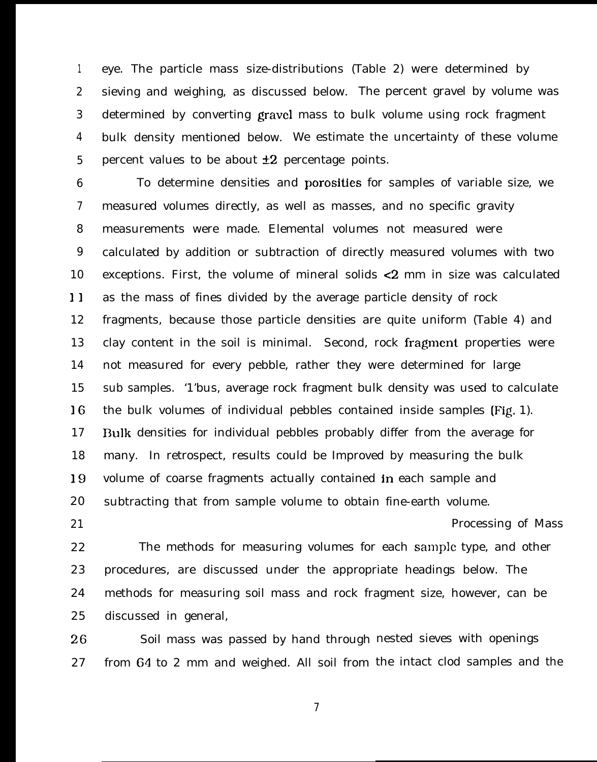1 2 3 4 5 eye. The particle mass size-distributions (Table 2) were determined by sieving and weighing, as discussed below. The percent gravel by volume was determined by converting gravel mass to bulk volume using rock fragment bulk density mentioned below. We estimate the uncertainty of these volume percent values to be about  $\pm 2$  percentage points.

6 7 8 9 10 1) 12 13 14 15 16 17 18 19 20 To determine densities and porosities for samples of variable size, we measured volumes directly, as well as masses, and no specific gravity measurements were made. Elemental volumes not measured were calculated by addition or subtraction of directly measured volumes with two exceptions. First, the volume of mineral solids <2 mm in size was calculated as the mass of fines divided by the average particle density of rock fragments, because those particle densities are quite uniform (Table 4) and clay content in the soil is minimal. Second, rock fragment properties were not measured for every pebble, rather they were determined for large sub samples. '1'bus, average rock fragment bulk density was used to calculate the bulk volumes of individual pebbles contained inside samples (Fig, 1). 13ulk densities for individual pebbles probably differ from the average for many. In retrospect, results could be Improved by measuring the bulk volume of coarse fragments actually contained in each sample and subtracting that from sample volume to obtain fine-earth volume. Processing of Mass

22 23 24 25 The methods for measuring volumes for each sample type, and other procedures, are discussed under the appropriate headings below. The methods for measuring soil mass and rock fragment size, however, can be discussed in general,

21

26 27 Soil mass was passed by hand through nested sieves with openings from 64 to 2 mm and weighed. All soil from the intact clod samples and the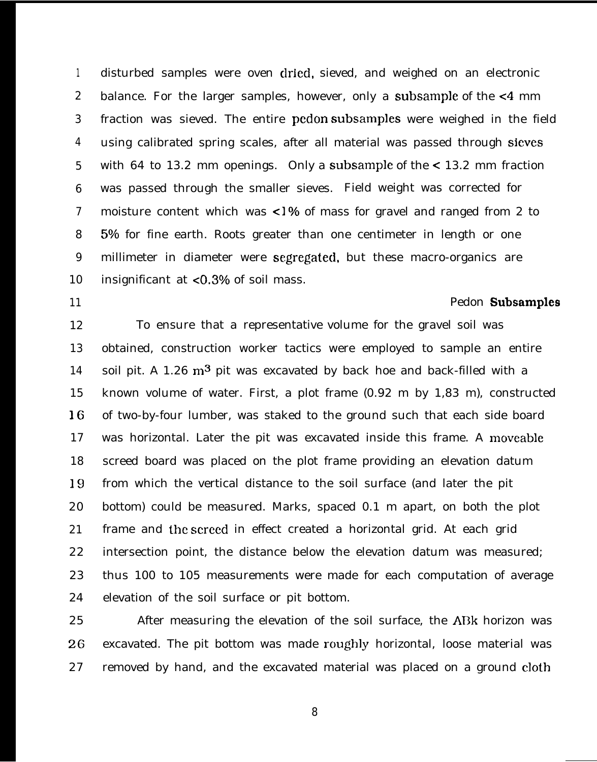1 2 3 4 5 6 7 8 9 10 disturbed samples were oven dried, sieved, and weighed on an electronic balance. For the larger samples, however, only a subsample of the <4 mm fraction was sieved. The entire pcdon subsamples were weighed in the field using calibrated spring scales, after all material was passed through sieves with 64 to 13.2 mm openings. Only a subsample of the  $\lt 13.2$  mm fraction was passed through the smaller sieves. Field weight was corrected for moisture content which was  $\langle 1\%$  of mass for gravel and ranged from 2 to 5% for fine earth. Roots greater than one centimeter in length or one millimeter in diameter were segregated, but these macro-organics are insignificant at  $< 0.3\%$  of soil mass.

11

#### Pedon Subsamples

12 13 14 15 16 17 18 19 20 21 22 23 24 To ensure that a representative volume for the gravel soil was obtained, construction worker tactics were employed to sample an entire soil pit. A 1.26  $m<sup>3</sup>$  pit was excavated by back hoe and back-filled with a known volume of water. First, a plot frame (0.92 m by 1,83 m), constructed of two-by-four lumber, was staked to the ground such that each side board was horizontal. Later the pit was excavated inside this frame. A moveable screed board was placed on the plot frame providing an elevation datum from which the vertical distance to the soil surface (and later the pit bottom) could be measured. Marks, spaced 0.1 m apart, on both the plot frame and the screed in effect created a horizontal grid. At each grid intersection point, the distance below the elevation datum was measured; thus 100 to 105 measurements were made for each computation of average elevation of the soil surface or pit bottom.

25 26 27 After measuring the elevation of the soil surface, the ABk horizon was excavated. The pit bottom was made roughly horizontal, loose material was removed by hand, and the excavated material was placed on a ground cloth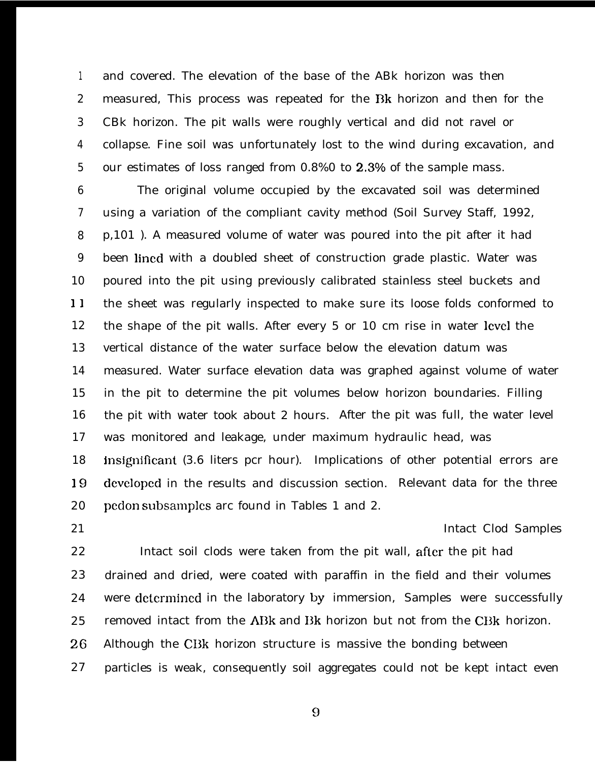1 2 3 4 5 and covered. The elevation of the base of the ABk horizon was then measured, This process was repeated for the Bk horizon and then for the CBk horizon. The pit walls were roughly vertical and did not ravel or collapse. Fine soil was unfortunately lost to the wind during excavation, and our estimates of loss ranged from 0.8%0 to 2.3% of the sample mass.

6 7 8 9 10 11 12 13 14 15 16 17 18 19 20 The original volume occupied by the excavated soil was determined using a variation of the compliant cavity method (Soil Survey Staff, 1992, p,101 ). A measured volume of water was poured into the pit after it had been lined with a doubled sheet of construction grade plastic. Water was poured into the pit using previously calibrated stainless steel buckets and the sheet was regularly inspected to make sure its loose folds conformed to the shape of the pit walls. After every 5 or 10 cm rise in water lcvcl the vertical distance of the water surface below the elevation datum was measured. Water surface elevation data was graphed against volume of water in the pit to determine the pit volumes below horizon boundaries. Filling the pit with water took about 2 hours. After the pit was full, the water level was monitored and leakage, under maximum hydraulic head, was insignificant (3.6 liters pcr hour). Implications of other potential errors are dcvclopcd in the results and discussion section. Relevant data for the three pcdon subsamples arc found in Tables 1 and 2.

21

#### Intact Clod Samples

22 23 24 25 26 27 Intact soil clods were taken from the pit wall, after the pit had drained and dried, were coated with paraffin in the field and their volumes were dctcrmincd in the laboratory by immersion, Samples were successfully removed intact from the ABk and Bk horizon but not from the CBk horizon. Although the CBk horizon structure is massive the bonding between particles is weak, consequently soil aggregates could not be kept intact even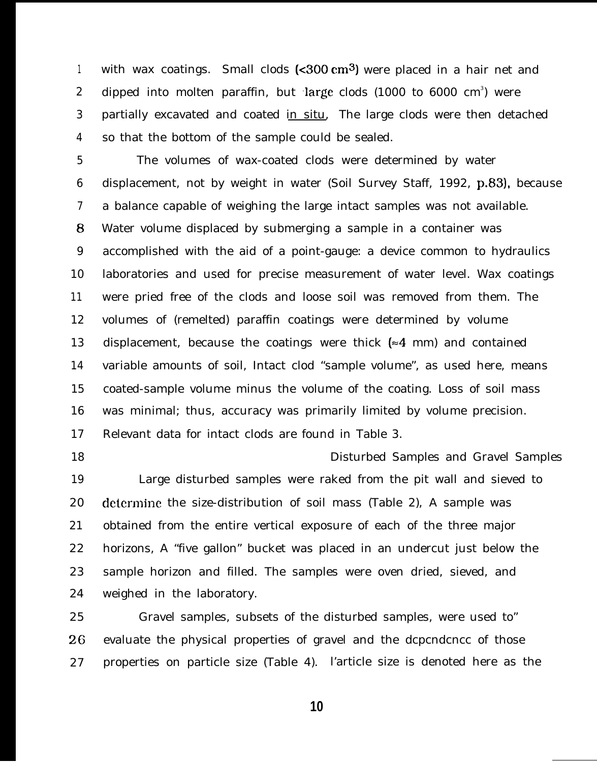1 2 3 4 with wax coatings. Small clods  $\left($ <300 cm<sup>3</sup>) were placed in a hair net and dipped into molten paraffin, but large clods  $(1000$  to  $6000$   $\mathrm{cm}^3)$  were partially excavated and coated in situ. The large clods were then detached so that the bottom of the sample could be sealed.

5 6 7 8 9 10 11 12 13 14 15 16 17 The volumes of wax-coated clods were determined by water displacement, not by weight in water (Soil Survey Staff, 1992, p.83), because a balance capable of weighing the large intact samples was not available. Water volume displaced by submerging a sample in a container was accomplished with the aid of a point-gauge: a device common to hydraulics laboratories and used for precise measurement of water level. Wax coatings were pried free of the clods and loose soil was removed from them. The volumes of (remelted) paraffin coatings were determined by volume displacement, because the coatings were thick  $\approx 4$  mm) and contained variable amounts of soil, Intact clod "sample volume", as used here, means coated-sample volume minus the volume of the coating. Loss of soil mass was minimal; thus, accuracy was primarily limited by volume precision. Relevant data for intact clods are found in Table 3.

18

19 20 21 22 23 24 Disturbed Samples and Gravel Samples Large disturbed samples were raked from the pit wall and sieved to determine the size-distribution of soil mass (Table 2), A sample was obtained from the entire vertical exposure of each of the three major horizons, A "five gallon" bucket was placed in an undercut just below the sample horizon and filled. The samples were oven dried, sieved, and weighed in the laboratory.

25 26 27 Gravel samples, subsets of the disturbed samples, were used to" evaluate the physical properties of gravel and the dcpcndcncc of those properties on particle size (Table 4). l'article size is denoted here as the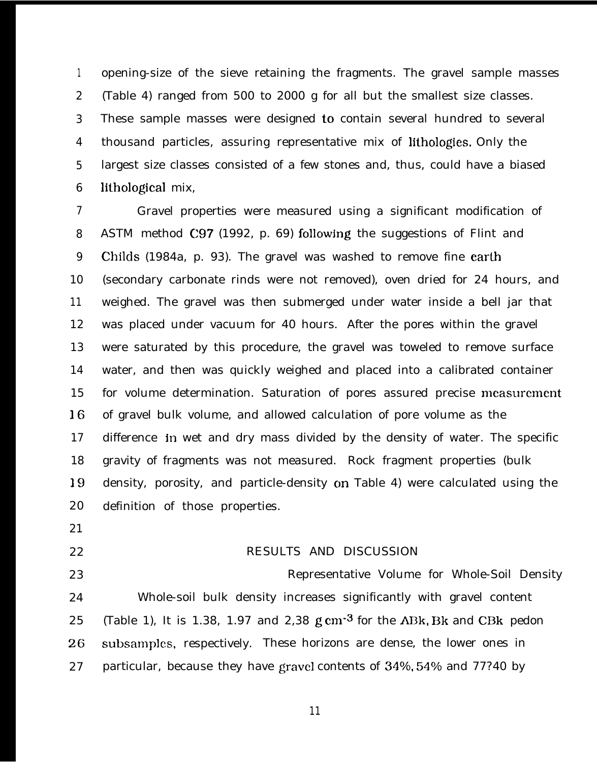1 2 3 4 5 6 opening-size of the sieve retaining the fragments. The gravel sample masses (Table 4) ranged from 500 to 2000 g for all but the smallest size classes. These sample masses were designed to contain several hundred to several thousand particles, assuring representative mix of lithologies. Only the largest size classes consisted of a few stones and, thus, could have a biased lithological mix,

7 8 9 10 11 12 13 14 15 16 17 18 19 20 Gravel properties were measured using a significant modification of ASTM method C97 (1992, p. 69) following the suggestions of Flint and Childs (1984a, p. 93). The gravel was washed to remove fine earlh (secondary carbonate rinds were not removed), oven dried for 24 hours, and weighed. The gravel was then submerged under water inside a bell jar that was placed under vacuum for 40 hours. After the pores within the gravel were saturated by this procedure, the gravel was toweled to remove surface water, and then was quickly weighed and placed into a calibrated container for volume determination. Saturation of pores assured precise measurement of gravel bulk volume, and allowed calculation of pore volume as the difference jn wet and dry mass divided by the density of water. The specific gravity of fragments was not measured. Rock fragment properties (bulk density, porosity, and particle-density cm Table 4) were calculated using the definition of those properties.

- 21
- 22
- 

#### RESULTS AND DISCUSSION

23 24 25 26 27 Representative Volume for Whole-Soil Density Whole-soil bulk density increases significantly with gravel content (Table 1), It is 1.38, 1.97 and 2.38 g  $cm^{-3}$  for the ABk, Bk and CBk pedon subsamples, respectively. These horizons are dense, the lower ones in particular, because they have gravel contents of 34%, 54% and 77?40 by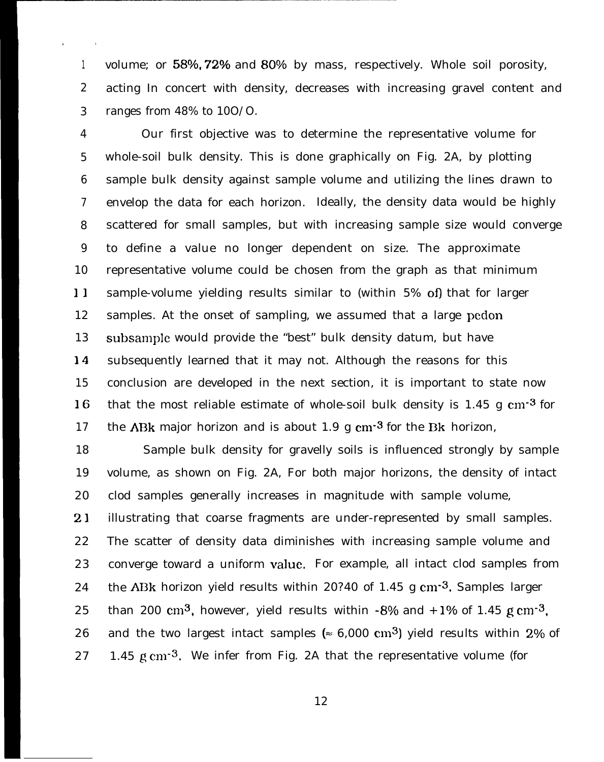1 2 3 volume; or 58%, 72% and 80% by mass, respectively. Whole soil porosity, acting In concert with density, decreases with increasing gravel content and ranges from 48% to 10O/O.

4 5 6 7 8 9 10 11 12 13 14 15 16 17 Our first objective was to determine the representative volume for whole-soil bulk density. This is done graphically on Fig. 2A, by plotting sample bulk density against sample volume and utilizing the lines drawn to envelop the data for each horizon. Ideally, the density data would be highly scattered for small samples, but with increasing sample size would converge to define a value no longer dependent on size. The approximate representative volume could be chosen from the graph as that minimum sample-volume yielding results similar to (within 5% of) that for larger samples. At the onset of sampling, we assumed that a large pcdon subsample would provide the "best" bulk density datum, but have subsequently learned that it may not. Although the reasons for this conclusion are developed in the next section, it is important to state now that the most reliable estimate of whole-soil bulk density is  $1.45 \text{ g cm}^{-3}$  for the ABk major horizon and is about 1.9 g  $cm<sup>3</sup>$  for the Bk horizon,

18 19 20 21 22 23 24 25 26 27 Sample bulk density for gravelly soils is influenced strongly by sample volume, as shown on Fig. 2A, For both major horizons, the density of intact clod samples generally increases in magnitude with sample volume, illustrating that coarse fragments are under-represented by small samples. The scatter of density data diminishes with increasing sample volume and converge toward a uniform value, For example, all intact clod samples from the ABk horizon yield results within 20?40 of 1.45 g  $cm<sup>3</sup>$ . Samples larger than 200 cm<sup>3</sup>, however, yield results within  $-8\%$  and  $+1\%$  of 1.45 g cm<sup>-3</sup>, and the two largest intact samples ( $\approx 6,000 \text{ cm}^3$ ) yield results within 2% of 1.45 g cm<sup>-3</sup>. We infer from Fig. 2A that the representative volume (for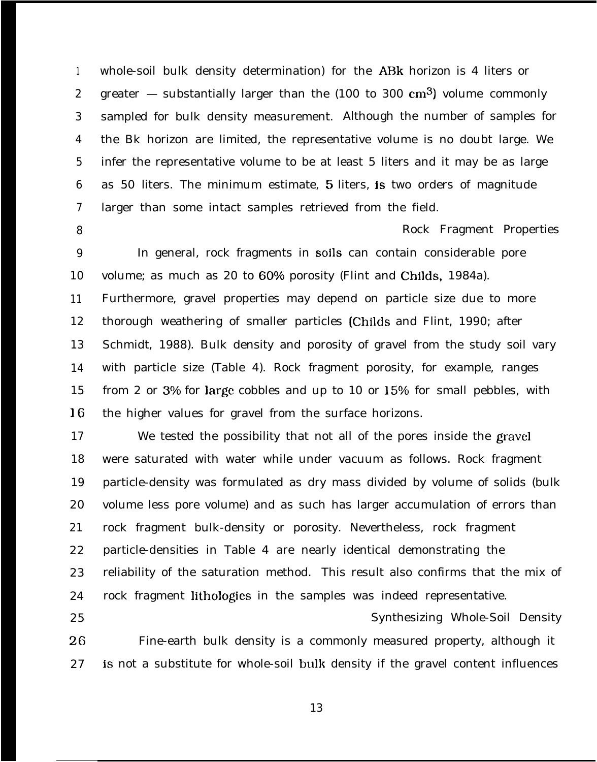1 2 3 4 5 6 7 whole-soil bulk density determination) for the ABk horizon is 4 liters or greater — substantially larger than the  $(100 \text{ to } 300 \text{ cm}^3)$  volume commonly sampled for bulk density measurement. Although the number of samples for the Bk horizon are limited, the representative volume is no doubt large. We infer the representative volume to be at least 5 liters and it may be as large as 50 liters. The minimum estimate, 5 liters, is two orders of magnitude larger than some intact samples retrieved from the field.

8

Rock Fragment Properties

9 10 11 12 13 14 15 16 In general, rock fragments in soils can contain considerable pore volume; as much as 20 to 60% porosity (Flint and Childs, 1984a). Furthermore, gravel properties may depend on particle size due to more thorough weathering of smaller particles (Childs and Flint, 1990; after Schmidt, 1988). Bulk density and porosity of gravel from the study soil vary with particle size (Table 4). Rock fragment porosity, for example, ranges from 2 or  $3\%$  for large cobbles and up to 10 or  $15\%$  for small pebbles, with the higher values for gravel from the surface horizons.

17 18 19 20 21 22 23 24 25 We tested the possibility that not all of the pores inside the gravel were saturated with water while under vacuum as follows. Rock fragment particle-density was formulated as dry mass divided by volume of solids (bulk volume less pore volume) and as such has larger accumulation of errors than rock fragment bulk-density or porosity. Nevertheless, rock fragment particle-densities in Table 4 are nearly identical demonstrating the reliability of the saturation method. This result also confirms that the mix of rock fragment lithologies in the samples was indeed representative. Synthesizing Whole-Soil Density

26 27 Fine-earth bulk density is a commonly measured property, although it is not a substitute for whole-soil bulk density if the gravel content influences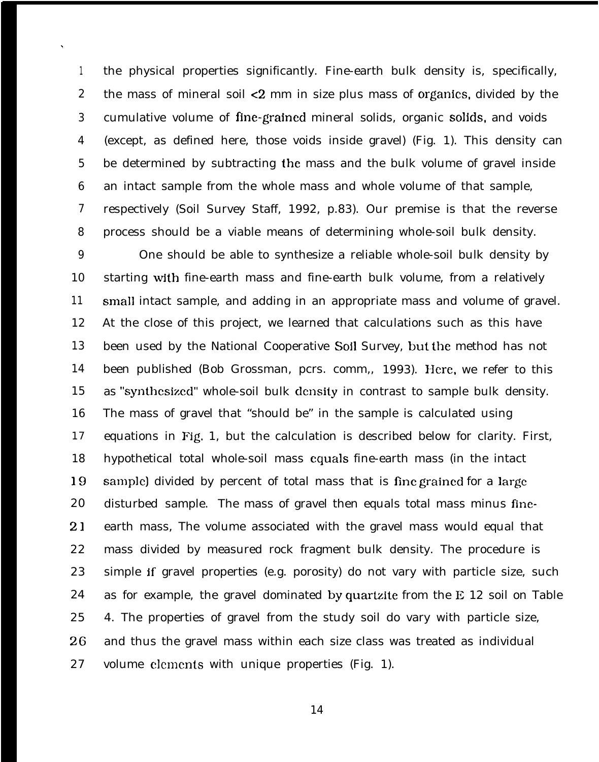1 2 3 4 5 6 7 8 the physical properties significantly. Fine-earth bulk density is, specifically, the mass of mineral soil <2 mm in size plus mass of organics, divided by the cumulative volume of fine-grained mineral solids, organic soljds, and voids (except, as defined here, those voids inside gravel) (Fig. 1). This density can be determined by subtracting the mass and the bulk volume of gravel inside an intact sample from the whole mass and whole volume of that sample, respectively (Soil Survey Staff, 1992, p.83). Our premise is that the reverse process should be a viable means of determining whole-soil bulk density.

\

9 10 11 12 13 14 15 16 17 18 19 20 2) 22 23 24 25 26 27 One should be able to synthesize a reliable whole-soil bulk density by starting with fine-earth mass and fine-earth bulk volume, from a relatively small intact sample, and adding in an appropriate mass and volume of gravel. At the close of this project, we learned that calculations such as this have been used by the National Cooperative Sojl Survey, but the method has not been published (Bob Grossman, pcrs. comm,, 1993). Here, we refer to this as "synthesized" whole-soil bulk density in contrast to sample bulk density. The mass of gravel that "should be" in the sample is calculated using equations in Fig, 1, but the calculation is described below for clarity. First, hypothetical total whole-soil mass equals fine-earth mass (in the intact sample) divided by percent of total mass that is fine grained for a large disturbed sample. The mass of gravel then equals total mass minus fineearth mass, The volume associated with the gravel mass would equal that mass divided by measured rock fragment bulk density. The procedure is simple if gravel properties (e.g. porosity) do not vary with particle size, such as for example, the gravel dominated by quartzite from the  $E$  12 soil on Table 4. The properties of gravel from the study soil do vary with particle size, and thus the gravel mass within each size class was treated as individual volume clcmcnts with unique properties (Fig. 1).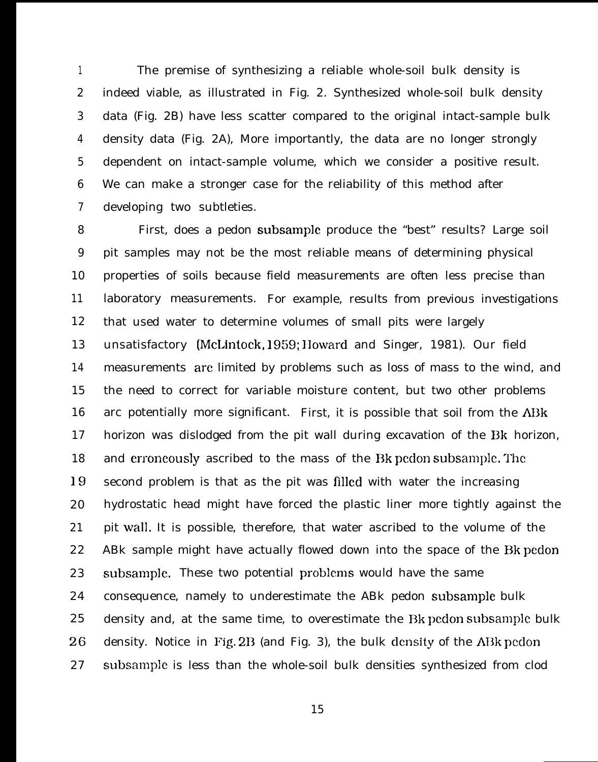1 2 3 4 5 6 7 The premise of synthesizing a reliable whole-soil bulk density is indeed viable, as illustrated in Fig. 2. Synthesized whole-soil bulk density data (Fig. 2B) have less scatter compared to the original intact-sample bulk density data (Fig. 2A), More importantly, the data are no longer strongly dependent on intact-sample volume, which we consider a positive result. We can make a stronger case for the reliability of this method after developing two subtleties.

8 9 10 11 12 13 14 15 16 17 18 19 20 21 22 23 24 25 26 27 First, does a pedon subsample produce the "best" results? Large soil pit samples may not be the most reliable means of determining physical properties of soils because field measurements are often less precise than laboratory measurements. For example, results from previous investigations that used water to determine volumes of small pits were largely unsatisfactory (McLintock, 1959; IIoward and Singer, 1981). Our field measurements arc limited by problems such as loss of mass to the wind, and the need to correct for variable moisture content, but two other problems arc potentially more significant. First, it is possible that soil from the ABk horizon was dislodged from the pit wall during excavation of the Bk horizon, and erroneously ascribed to the mass of the Bk pedon subsample. The second problem is that as the pit was filled with water the increasing hydrostatic head might have forced the plastic liner more tightly against the pit wall. It is possible, therefore, that water ascribed to the volume of the ABk sample might have actually flowed down into the space of the Bk pedon subsample. These two potential problems would have the same consequence, namely to underestimate the ABk pedon subsample bulk density and, at the same time, to overestimate the Bk pedon subsamplc bulk density. Notice in Fig.  $2B$  (and Fig. 3), the bulk density of the ABk pedon subsample is less than the whole-soil bulk densities synthesized from clod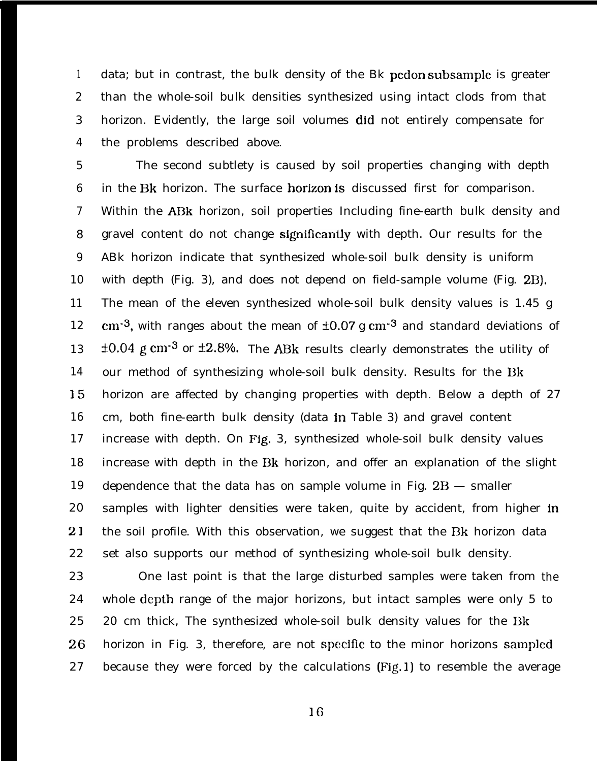1 2 3 4 data; but in contrast, the bulk density of the Bk pedon subsample is greater than the whole-soil bulk densities synthesized using intact clods from that horizon. Evidently, the large soil volumes did not entirely compensate for the problems described above.

5 6 7 8 9 10 11 12 13 14 15 16 17 18 19 20 2) 22 The second subtlety is caused by soil properties changing with depth in the Bk horizon. The surface horizon is discussed first for comparison. Within the ABk horizon, soil properties Including fine-earth bulk density and gravel content do not change significanUy with depth. Our results for the ABk horizon indicate that synthesized whole-soil bulk density is uniform with depth (Fig. 3), and does not depend on field-sample volume (Fig. 2B). The mean of the eleven synthesized whole-soil bulk density values is 1.45 g cm<sup>-3</sup>, with ranges about the mean of  $\pm 0.07$  g cm<sup>-3</sup> and standard deviations of  $\pm 0.04$  g cm<sup>-3</sup> or  $\pm 2.8$ %. The ABk results clearly demonstrates the utility of our method of synthesizing whole-soil bulk density. Results for the Bk horizon are affected by changing properties with depth. Below a depth of 27 cm, both fine-earth bulk density (data in Table 3) and gravel content increase with depth. On Fjg, 3, synthesized whole-soil bulk density values increase with depth in the Bk horizon, and offer an explanation of the slight dependence that the data has on sample volume in Fig.  $2B$  – smaller samples with lighter densities were taken, quite by accident, from higher in the soil profile. With this observation, we suggest that the Bk horizon data set also supports our method of synthesizing whole-soil bulk density.

23 24 25 26 27 One last point is that the large disturbed samples were taken from the whole depth range of the major horizons, but intact samples were only 5 to 20 cm thick, The synthesized whole-soil bulk density values for the Bk horizon in Fig. 3, therefore, are not specific to the minor horizons sampled because they were forced by the calculations (Fig, 1) to resemble the average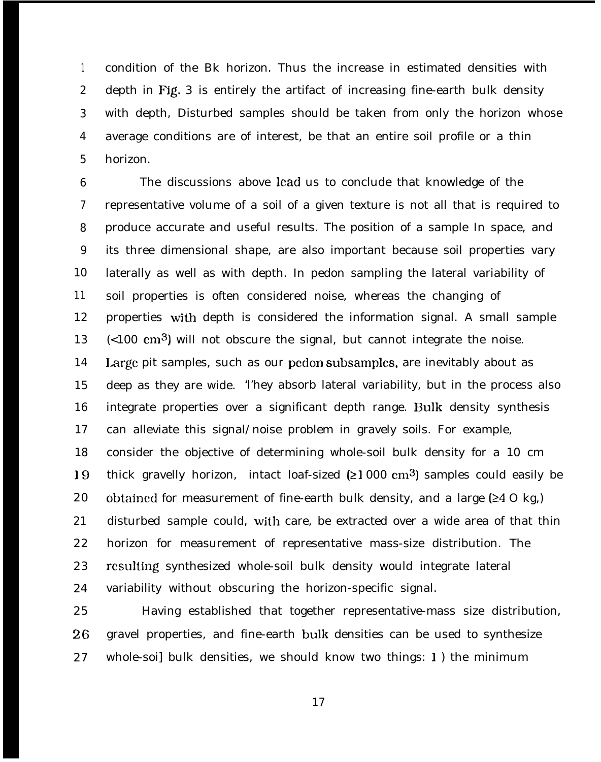1 2 3 4 5 condition of the Bk horizon. Thus the increase in estimated densities with depth in Fig. 3 is entirely the artifact of increasing fine-earth bulk density with depth, Disturbed samples should be taken from only the horizon whose average conditions are of interest, be that an entire soil profile or a thin horizon.

6 7 8 9 10 11 12 13 14 15 16 17 18 19 20 21 22 23 24 The discussions above lead us to conclude that knowledge of the representative volume of a soil of a given texture is not all that is required to produce accurate and useful results. The position of a sample In space, and its three dimensional shape, are also important because soil properties vary laterally as well as with depth. In pedon sampling the lateral variability of soil properties is often considered noise, whereas the changing of properties with depth is considered the information signal. A small sample  $(0.100 \text{ cm}^3)$  will not obscure the signal, but cannot integrate the noise. Large pit samples, such as our pedon subsamples, are inevitably about as deep as they are wide. 'l'hey absorb lateral variability, but in the process also integrate properties over a significant depth range. Bulk density synthesis can alleviate this signal/noise problem in gravely soils. For example, consider the objective of determining whole-soil bulk density for a 10 cm thick gravelly horizon, intact loaf-sized  $(21000 \text{ cm}^3)$  samples could easily be obtained for measurement of fine-earth bulk density, and a large  $(240 \text{ kg})$ disturbed sample could, with care, be extracted over a wide area of that thin horizon for measurement of representative mass-size distribution. The rcsulting synthesized whole-soil bulk density would integrate lateral variability without obscuring the horizon-specific signal.

25 26 27 Having established that together representative-mass size distribution, gravel properties, and fine-earth bulk densities can be used to synthesize whole-soi] bulk densities, we should know two things: 1 ) the minimum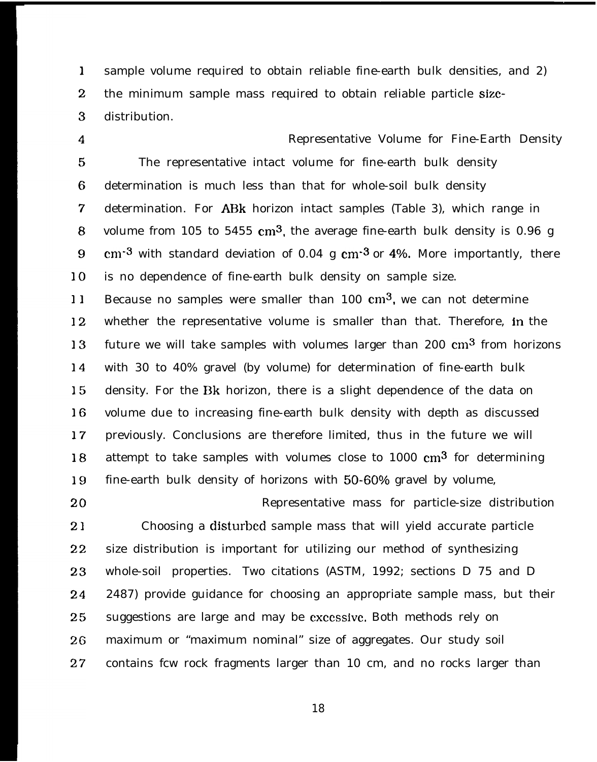$\mathbf{1}$ sample volume required to obtain reliable fine-earth bulk densities, and 2)  $\overline{2}$ the minimum sample mass required to obtain reliable particle size- $\overline{3}$ distribution.

 $\overline{4}$ 

Representative Volume for Fine-Earth Density  $5<sup>5</sup>$ The representative intact volume for fine-earth bulk density 6 determination is much less than that for whole-soil bulk density  $\overline{7}$ determination. For ABk horizon intact samples (Table 3), which range in volume from 105 to 5455  $cm^3$ , the average fine-earth bulk density is 0.96 g 8  $cm<sup>-3</sup>$  with standard deviation of 0.04 g  $cm<sup>-3</sup>$  or 4%. More importantly, there 9 10 is no dependence of fine-earth bulk density on sample size. Because no samples were smaller than  $100 \text{ cm}^3$ , we can not determine  $11$ whether the representative volume is smaller than that. Therefore, in the  $12<sup>2</sup>$ 

13 future we will take samples with volumes larger than 200  $\text{cm}^3$  from horizons  $14$ with 30 to 40% gravel (by volume) for determination of fine-earth bulk 15 density. For the Bk horizon, there is a slight dependence of the data on 16 volume due to increasing fine-earth bulk density with depth as discussed previously. Conclusions are therefore limited, thus in the future we will  $17$ attempt to take samples with volumes close to  $1000 \text{ cm}^3$  for determining 18 19 fine-earth bulk density of horizons with 50-60% gravel by volume,

20 Representative mass for particle-size distribution 21 Choosing a disturbed sample mass that will yield accurate particle  $22<sub>2</sub>$ size distribution is important for utilizing our method of synthesizing 23 whole-soil properties. Two citations (ASTM, 1992; sections D 75 and D 2487) provide guidance for choosing an appropriate sample mass, but their 24 25 suggestions are large and may be cxccssive. Both methods rely on 26 maximum or "maximum nominal" size of aggregates. Our study soil contains fcw rock fragments larger than 10 cm, and no rocks larger than  $27<sub>2</sub>$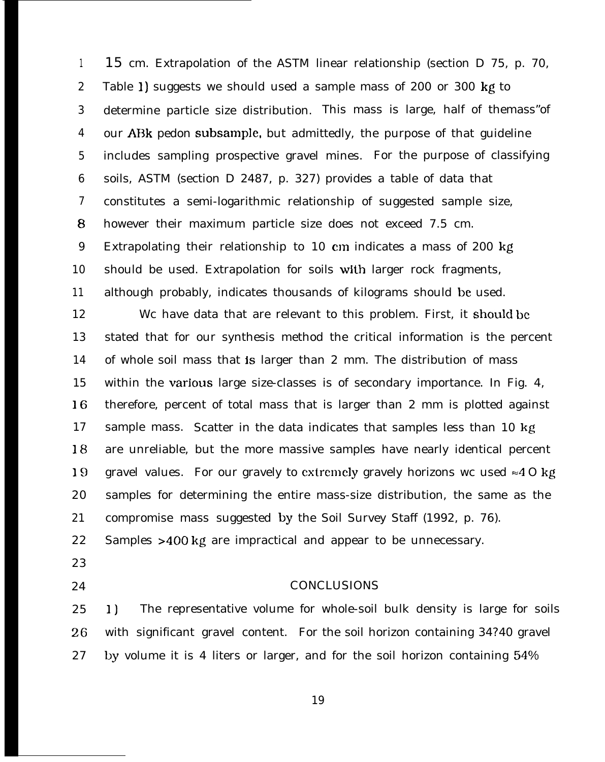1 2 3 4 5 6 7 8 9 10 11 12 13 14 15 cm. Extrapolation of the ASTM linear relationship (section D 75, p. 70, Table 1) suggests we should used a sample mass of 200 or 300 kg to determine particle size distribution. This mass is large, half of themass"of our A13k pedon subsample, but admittedly, the purpose of that guideline includes sampling prospective gravel mines. For the purpose of classifying soils, ASTM (section D 2487, p. 327) provides a table of data that constitutes a semi-logarithmic relationship of suggested sample size, however their maximum particle size does not exceed 7.5 cm. Extrapolating their relationship to 10 cm indicates a mass of 200 kg should be used. Extrapolation for soils with larger rock fragments, although probably, indicates thousands of kilograms should be used. We have data that are relevant to this problem. First, it should be stated that for our synthesis method the critical information is the percent of whole soil mass that is larger than 2 mm. The distribution of mass

15 16 17 18 19 20 21 within the various large size-classes is of secondary importance. In Fig. 4, therefore, percent of total mass that is larger than 2 mm is plotted against sample mass. Scatter in the data indicates that samples less than 10 kg are unreliable, but the more massive samples have nearly identical percent gravel values. For our gravely to extremely gravely horizons we used  $\approx 40$  kg samples for determining the entire mass-size distribution, the same as the compromise mass suggested by the Soil Survey Staff (1992, p. 76).

22 Samples >400 kg are impractical and appear to be unnecessary.

- 23
- 24

#### **CONCLUSIONS**

25 26 27 1) The representative volume for whole-soil bulk density is large for soils with significant gravel content. For the soil horizon containing 34?40 gravel by volume it is 4 liters or larger, and for the soil horizon containing  $54\%$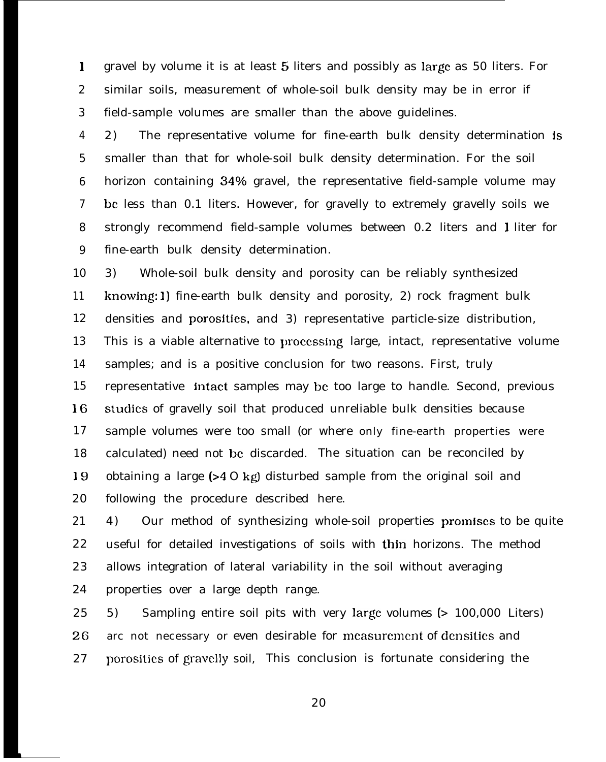1 2 3 gravel by volume it is at least 5 liters and possibly as large as 50 liters. For similar soils, measurement of whole-soil bulk density may be in error if field-sample volumes are smaller than the above guidelines.

4 5 6 7 8 9 2) The representative volume for fine-earth bulk density determination is smaller than that for whole-soil bulk density determination. For the soil horizon containing 34% gravel, the representative field-sample volume may bc less than 0.1 liters. However, for gravelly to extremely gravelly soils we strongly recommend field-sample volumes between 0.2 liters and 1 liter for fine-earth bulk density determination.

10 11 12 13 14 15 16 17 18 19 20 3) Whole-soil bulk density and porosity can be reliably synthesized knowing: 1) fine-earth bulk density and porosity, 2) rock fragment bulk densities and porosities, and 3) representative particle-size distribution, This is a viable alternative to processing large, intact, representative volume samples; and is a positive conclusion for two reasons. First, truly representative intact samples may be too large to handle. Second, previous studies of gravelly soil that produced unreliable bulk densities because sample volumes were too small (or where only fine-earth properties were calculated) need not bc discarded. The situation can be reconciled by obtaining a large (>4 O kgl disturbed sample from the original soil and following the procedure described here.

21 22 23 24 4) Our method of synthesizing whole-soil properties promjscs to be quite useful for detailed investigations of soils with thin horizons. The method allows integration of lateral variability in the soil without averaging properties over a large depth range.

25 26 27 5) Sampling entire soil pits with very large volumes (> 100,000 Liters) arc not necessary or even desirable for measurement of densities and porosities of gravcl]y soil, This conclusion is fortunate considering the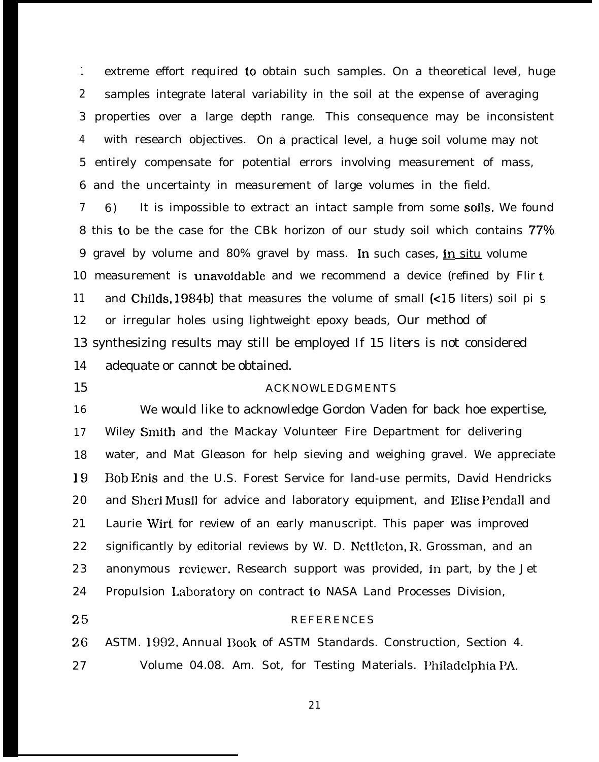<sup>1</sup> extreme effort required to obtain such samples. On a theoretical level, huge 2 samples integrate lateral variability in the soil at the expense of averaging 3 properties over a large depth range. This consequence may be inconsistent 4 with research objectives. On a practical level, a huge soil volume may not 5 entirely compensate for potential errors involving measurement of mass, 6 and the uncertainty in measurement of large volumes in the field.

7 6) It is impossible to extract an intact sample from some soils. We found 8 this to be the case for the CBk horizon of our study soil which contains 77% 9 gravel by volume and 80% gravel by mass. In such cases, jn situ volume 10 measurement is unavoidable and we recommend a device (refined by Flir t 11 and Childs, 1984b) that measures the volume of small (<15 liters) soil pi s 12 or irregular holes using lightweight epoxy beads, Our method of 13 synthesizing results may still be employed If 15 liters is not considered 14 adequate or cannot be obtained.

#### 15 ACKNOWLEDGMENTS

16 17 18 19 20 21 22 23 24 We would like to acknowledge Gordon Vaden for back hoe expertise, Wiley Smith and the Mackay Volunteer Fire Department for delivering water, and Mat Gleason for help sieving and weighing gravel. We appreciate Bob Enis and the U.S. Forest Service for land-use permits, David Hendricks and Sheri Musil for advice and laboratory equipment, and Elise Pendall and Laurie Wirt for review of an early manuscript. This paper was improved significantly by editorial reviews by W. D. Ncttleton, R, Grossman, and an anonymous reviewer. Research support was provided, in part, by the Jet Propulsion Laboratory on contract to NASA Land Processes Division,

25

#### **REFERENCES**

26 27 ASTM. 1992. Annual Book of ASTM Standards. Construction, Section 4. Volume 04.08. Am. Sot, for Testing Materials. l'hiladclphia PA,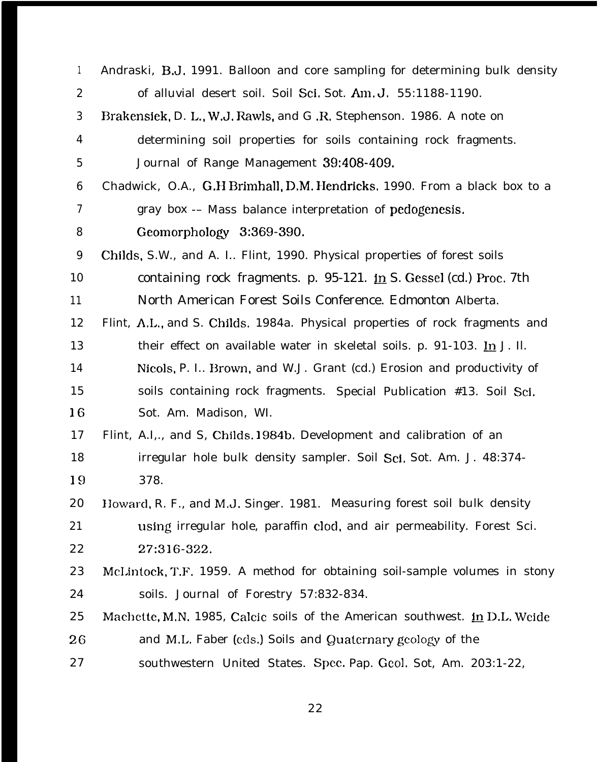| $\mathbf{1}$     | Andraski, B.J. 1991. Balloon and core sampling for determining bulk density             |
|------------------|-----------------------------------------------------------------------------------------|
| $\boldsymbol{2}$ | of alluvial desert soil. Soil Sci. Sot. Am. J. 55:1188-1190.                            |
| 3                | Brakensiek, D. L., W.J. Rawls, and G.R. Stephenson. 1986. A note on                     |
| $\boldsymbol{4}$ | determining soil properties for soils containing rock fragments.                        |
| $\mathbf 5$      | Journal of Range Management 39:408-409.                                                 |
| $\boldsymbol{6}$ | Chadwick, O.A., G.H Brimhall, D.M. Hendricks. 1990. From a black box to a               |
| 7                | gray box -- Mass balance interpretation of pedogenesis.                                 |
| 8                | Geomorphology 3:369-390.                                                                |
| 9                | Childs, S.W., and A. I Flint, 1990. Physical properties of forest soils                 |
| 10               | containing rock fragments. p. 95-121. $\underline{\text{in}}$ S. Gessel (cd.) Proc. 7th |
| 11               | North American Forest Soils Conference. Edmonton Alberta.                               |
| 12               | Flint, A.L., and S. Childs. 1984a. Physical properties of rock fragments and            |
| 13               | their effect on available water in skeletal soils. p. 91-103. In J. Il.                 |
| 14               | Nicols, P. I Brown, and W.J. Grant (cd.) Erosion and productivity of                    |
| 15               | soils containing rock fragments. Special Publication #13. Soil Sci.                     |
| 16               | Sot. Am. Madison, WI.                                                                   |
| 17               | Flint, A.I, and S, Childs. 1984b. Development and calibration of an                     |
| 18               | irregular hole bulk density sampler. Soil Sci. Sot. Am. J. 48:374-                      |
| 19               | 378.                                                                                    |
| 20               | Howard, R. F., and M.J. Singer. 1981. Measuring forest soil bulk density                |
| 21               | using irregular hole, paraffin clod, and air permeability. Forest Sci.                  |
| 22               | 27:316-322.                                                                             |
| 23               | McLintock, T.F. 1959. A method for obtaining soil-sample volumes in stony               |
| 24               | soils. Journal of Forestry 57:832-834.                                                  |
| 25               | Machette, M.N. 1985, Calcic soils of the American southwest. in D.L. Weide              |
| 26               | and M.L. Faber (eds.) Soils and Quaternary geology of the                               |
| 27               | southwestern United States. Spec. Pap. Geol. Sot, Am. 203:1-22,                         |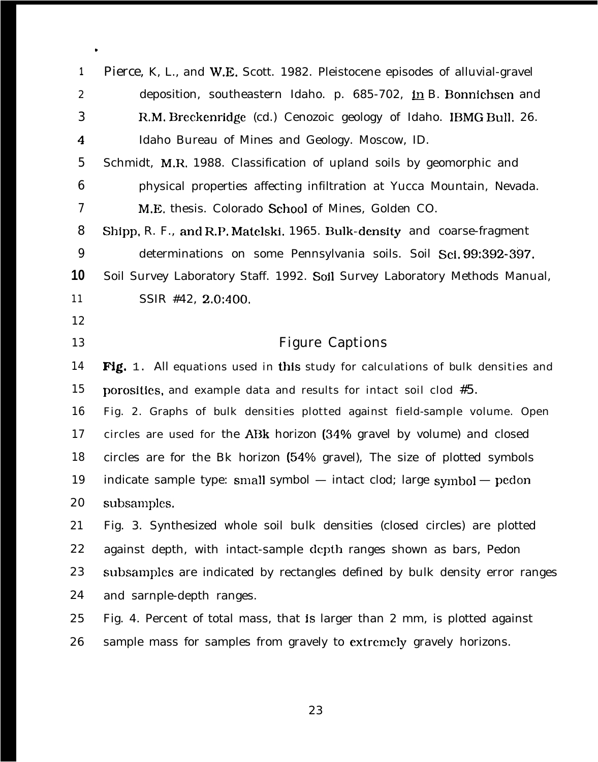| 1                | Pierce, K, L., and W.E. Scott. 1982. Pleistocene episodes of alluvial-gravel    |
|------------------|---------------------------------------------------------------------------------|
| $\boldsymbol{2}$ | deposition, southeastern Idaho. p. 685-702, in B. Bonnichsen and                |
| 3                | R.M. Breckenridge (cd.) Cenozoic geology of Idaho. IBMG Bull. 26.               |
| $\boldsymbol{4}$ | Idaho Bureau of Mines and Geology. Moscow, ID.                                  |
| $\overline{5}$   | Schmidt, M.R. 1988. Classification of upland soils by geomorphic and            |
| $\boldsymbol{6}$ | physical properties affecting infiltration at Yucca Mountain, Nevada.           |
| 7                | M.E. thesis. Colorado School of Mines, Golden CO.                               |
| 8                | Shipp, R. F., and R.P. Matelski. 1965. Bulk-density and coarse-fragment         |
| 9                | determinations on some Pennsylvania soils. Soil Sci, 99:392-397.                |
| 10               | Soil Survey Laboratory Staff. 1992. Soil Survey Laboratory Methods Manual,      |
| 11               | SSIR #42, 2.0:400.                                                              |
| 12               |                                                                                 |
| 13               | <b>Figure Captions</b>                                                          |
|                  |                                                                                 |
| 14               | Fig. 1. All equations used in this study for calculations of bulk densities and |
| 15               | porosities, and example data and results for intact soil clod $#5$ .            |
| 16               | Fig. 2. Graphs of bulk densities plotted against field-sample volume. Open      |
| 17               | circles are used for the ABk horizon (34% gravel by volume) and closed          |
| 18               | circles are for the Bk horizon (54% gravel), The size of plotted symbols        |
| 19               | indicate sample type: small symbol - intact clod; large symbol - pedon          |
| 20               | subsamples.                                                                     |
| 21               | Fig. 3. Synthesized whole soil bulk densities (closed circles) are plotted      |
| 22               | against depth, with intact-sample depth ranges shown as bars, Pedon             |
|                  | subsamples are indicated by rectangles defined by bulk density error ranges     |
|                  | and sarnple-depth ranges.                                                       |
| 23<br>24<br>25   | Fig. 4. Percent of total mass, that is larger than 2 mm, is plotted against     |
| 26               | sample mass for samples from gravely to extremely gravely horizons.             |

**b**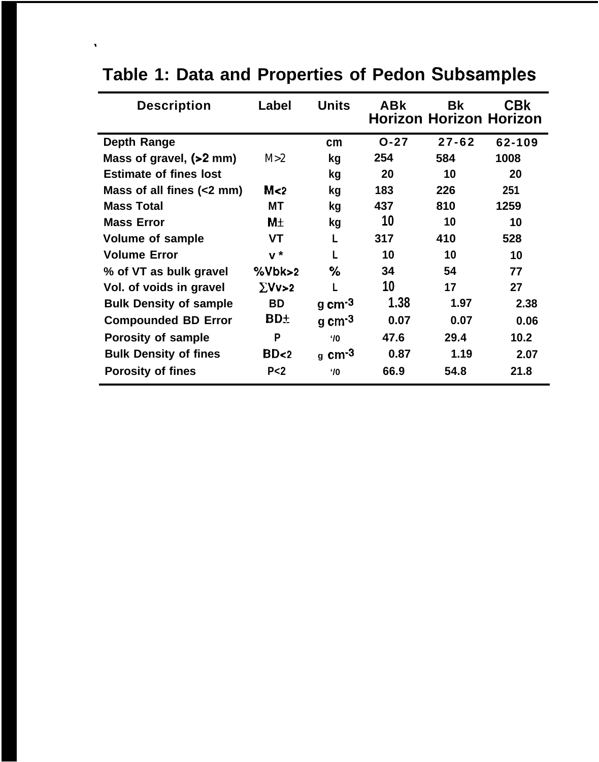| <b>Description</b>            | Label           | <b>Units</b>                 | <b>ABK</b> | <b>Bk</b><br><b>Horizon Horizon Horizon</b> | <b>CBK</b> |
|-------------------------------|-----------------|------------------------------|------------|---------------------------------------------|------------|
| <b>Depth Range</b>            |                 | cm                           | $O - 27$   | $27 - 62$                                   | 62-109     |
| Mass of gravel, (>2 mm)       | M>2             | kg                           | 254        | 584                                         | 1008       |
| <b>Estimate of fines lost</b> |                 | kg                           | 20         | 10                                          | 20         |
| Mass of all fines (<2 mm)     | M <sub>2</sub>  | kg                           | 183        | 226                                         | 251        |
| <b>Mass Total</b>             | МT              | kg                           | 437        | 810                                         | 1259       |
| <b>Mass Error</b>             | M <sub>±</sub>  | kg                           | 10         | 10                                          | 10         |
| <b>Volume of sample</b>       | <b>VT</b>       |                              | 317        | 410                                         | 528        |
| <b>Volume Error</b>           | $\mathbf{v}^*$  | L                            | 10         | 10                                          | 10         |
| % of VT as bulk gravel        | %Vbk>2          | %                            | 34         | 54                                          | 77         |
| Vol. of voids in gravel       | $\Sigma Vv>2$   | L                            | 10         | 17                                          | 27         |
| <b>Bulk Density of sample</b> | <b>BD</b>       | g cm $-3$                    | 1.38       | 1.97                                        | 2.38       |
| <b>Compounded BD Error</b>    | <b>BD+</b>      | $g \text{ cm}$ <sup>3</sup>  | 0.07       | 0.07                                        | 0.06       |
| <b>Porosity of sample</b>     | P               | $^{\prime}$ /0               | 47.6       | 29.4                                        | 10.2       |
| <b>Bulk Density of fines</b>  | BD <sub>2</sub> | $g \text{ cm}$ <sup>-3</sup> | 0.87       | 1.19                                        | 2.07       |
| <b>Porosity of fines</b>      | P <sub>2</sub>  | $'$ /0                       | 66.9       | 54.8                                        | 21.8       |

# **Table 1: Data and Properties of Pedon Subsamples**

\*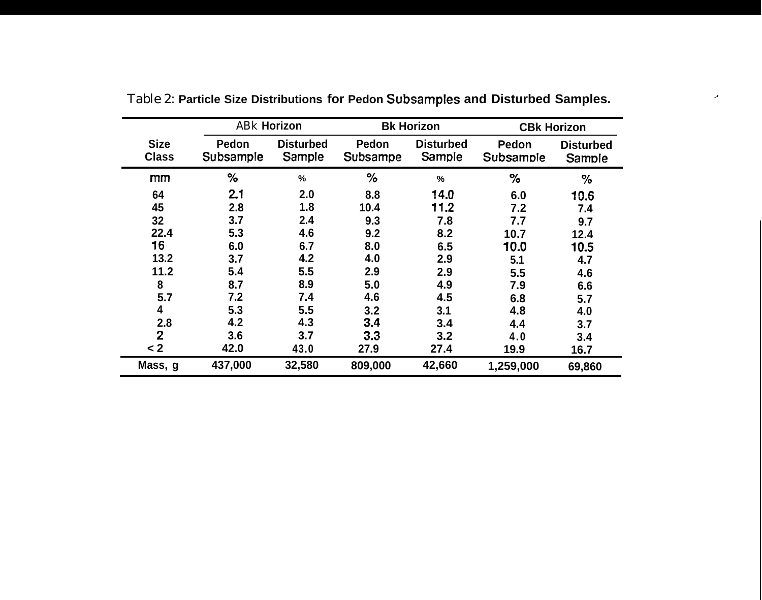|                             | <b>ABk Horizon</b> |                            |                   | <b>Bk Horizon</b>          | <b>CBk Horizon</b> |                            |  |
|-----------------------------|--------------------|----------------------------|-------------------|----------------------------|--------------------|----------------------------|--|
| <b>Size</b><br><b>Class</b> | Pedon<br>Subsample | <b>Disturbed</b><br>Sample | Pedon<br>Subsampe | <b>Disturbed</b><br>Sample | Pedon<br>Subsample | <b>Disturbed</b><br>Sample |  |
| mm                          | ℅                  | %                          | %                 | %                          | $\%$               | $\%$                       |  |
| 64                          | 2.1                | 2.0                        | 8.8               | 14.0                       | 6.0                | 10.6                       |  |
| 45                          | 2.8                | 1.8                        | 10.4              | 11.2                       | 7.2                | 7.4                        |  |
| 32                          | 3.7                |                            | 9.3               | 7.8                        | 7.7                | 9.7                        |  |
| 22.4                        | 5.3                | 4.6                        | 9.2               | 8.2                        | 10.7               | 12.4                       |  |
| 16                          | 6.0                | 6.7                        | 8.0               | 6.5                        | 10.0               | 10.5                       |  |
| 13.2                        | 3.7                | 4.2                        | 4.0               | 2.9                        | 5.1                | 4.7                        |  |
| 11.2                        | 5.4                | 5.5                        | 2.9               | 2.9                        | 5.5                | 4.6                        |  |
| 8                           | 8.7                | 8.9                        | 5.0               | 4.9                        | 7.9                | 6.6                        |  |
| 5.7                         | 7.2                | 7.4                        | 4.6               | 4.5                        | 6.8                | 5.7                        |  |
| 4                           | 5.3                | 5.5                        | 3.2               | 3.1                        | 4.8                | 4.0                        |  |
| 2.8                         | 4.2                | 4.3                        | 3.4               | 3.4                        | 4.4                | 3.7                        |  |
| $\overline{2}$              | 3.6                | 3.7                        | 3.3               | 3.2                        | 4.0                | 3.4                        |  |
| $2$                         | 42.0               | 43.0                       | 27.9              | 27.4                       | 19.9               | 16.7                       |  |
| Mass, g                     | 437,000            | 32,580                     | 809,000           | 42,660                     | 1,259,000          | 69,860                     |  |

Table 2: **Particle Size Distributions for Pedon Subsamples and Disturbed Samples.**

.,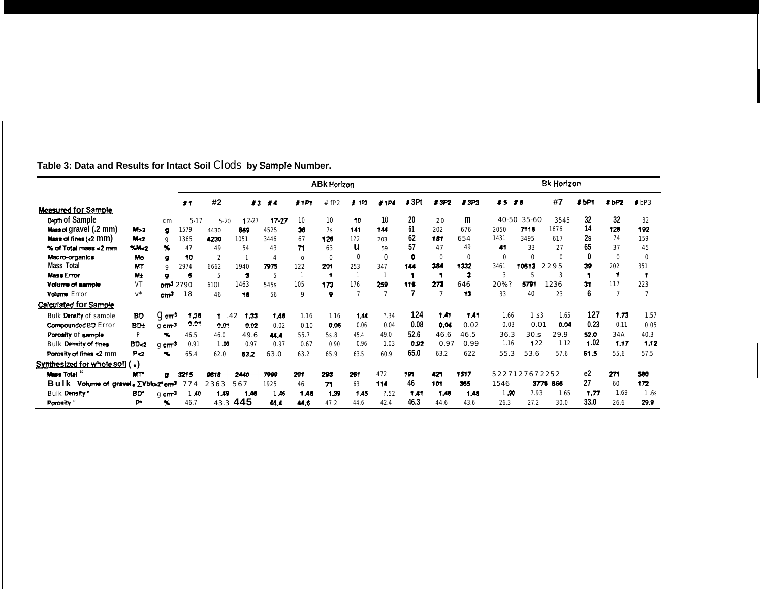| Table 3: Data and Results for Intact Soil Clods by Sample Number. |  |
|-------------------------------------------------------------------|--|
|-------------------------------------------------------------------|--|

|                                         |                 |                       | <b>ABK Horizon</b> |                         |                    |       |              |                      | <b>Bk Horizon</b> |      |      |                |             |              |               |      |       |      |                  |
|-----------------------------------------|-----------------|-----------------------|--------------------|-------------------------|--------------------|-------|--------------|----------------------|-------------------|------|------|----------------|-------------|--------------|---------------|------|-------|------|------------------|
|                                         |                 |                       | #1                 | #2                      | $\boldsymbol{t}$ 3 | - 14  | 21P1         | fP <sub>2</sub><br># | 1P3               | #1P4 | J3Pt | #3P2           | #3P3        | <b>#5 #6</b> |               | #7   | \$bP1 | #bP2 | I <sub>bP3</sub> |
| Measured for Sample                     |                 |                       |                    |                         |                    |       |              |                      |                   |      |      |                |             |              |               |      |       |      |                  |
| Depth of Sample                         |                 | cm                    | $5-17$             | $5 - 20$                | 12-27              | 17-27 | 10           | 10                   | 10                | 10   | 20   | 20             | m           |              | 40-50 35-60   | 3545 | 32    | 32   | 32               |
| Mass of gravel (.2 mm)                  | M > 2           | ø                     | 1579               | 4430                    | 889                | 4525  | 36           | 7s                   | 141               | 144  | 61   | 202            | 676         | 2050         | 7118          | 1676 | 14    | 126  | 192              |
| Mass of fines (<2 mm)                   | M <sub>2</sub>  | $\mathbf Q$           | 1365               | 4230                    | 1051               | 3446  | 67           | 126                  | 1?2               | 203  | 62   | 151            | 654         | 1431         | 3495          | 617  | 2s    | 74   | 159              |
| % of Total mass <2 mm                   | M <sub>2</sub>  | Y,                    | 47                 | 49                      | 54                 | 43    | 71           | 63                   | u                 | 59   | 57   | 47             | 49          | 41           | 33            | 27   | 65    | 37   | 45               |
| Macro-organics                          | Mo              | ø                     | 10                 | $\overline{\mathbf{c}}$ |                    | 4     | $\mathbf{o}$ | $\Omega$             | 0                 |      | O    | 0              | $\mathbf 0$ | $\mathbf{0}$ | 0             |      | 0     | 0    | 0                |
| <b>Mass Total</b>                       | <b>MT</b>       | q                     | 2974               | 6662                    | 1940               | 7975  | 122          | 201                  | 253               | 347  | 144  | 384            | 1332        | 3461         | 10613         | 2295 | 39    | 202  | 351              |
| <b>Mass Error</b>                       | Mt              | o                     | 6                  | 5                       | 2                  | 5     |              | -1                   |                   |      |      | -1             | з           | 3            | 5             |      | 1     | -1   |                  |
| Volume of sample                        | <b>VT</b>       | cm <sup>3</sup>       | 2?90               | 6101                    | 1463               | 545s  | 105          | 173                  | 176               | 259  | 116  | 273            | 646         | 20%?         | 5791          | 1236 | 31    | 117  | 223              |
| <b>Volume Error</b>                     | $v^*$           | cm <sup>3</sup>       | 18                 | 46                      | 18                 | 56    | 9            | 9                    | $\overline{7}$    | 7    |      | $\overline{7}$ | 13          | 33           | 40            | 23   | 6     | 7    |                  |
| Calculated for Sample                   |                 |                       |                    |                         |                    |       |              |                      |                   |      |      |                |             |              |               |      |       |      |                  |
| <b>Bulk Density of sample</b>           | <b>BD</b>       | $g_{cm}$ <sup>3</sup> | 1.36               | 1.42                    | 1,33               | 1,46  | 1.16         | 1.16                 | 1.44              | ?34  | 124  | 1.41           | 1.41        | 1.66         | 1.53          | 1.65 | 127   | 1,73 | 1.57             |
| Compounded BD Error                     | BD+             | g cm <sup>3</sup>     | 0.01               | 0.01                    | 0.02               | 0.02  | 0.10         | 0.06                 | 0.06              | 0.04 | 0.08 | 0.04           | 0.02        | 0.03         | 0.01          | 0.04 | 0.23  | 0.11 | 0.05             |
| Porosity of sample                      | P               | x                     | 46.5               | 46.0                    | 49.6               | 44.4  | 55.7         | 5s.8                 | 45.4              | 49.0 | 52.6 | 46.6           | 46.5        | 36.3         | 30.5          | 29.9 | 52.0  | 34A  | 40.3             |
| <b>Bulk Density of fines</b>            | BD <sub>2</sub> | g cm <sup>3</sup>     | 0.91               | 1.00                    | 0.97               | 0.97  | 0.67         | 0.90                 | 0.96              | 1.03 | 0.92 | 0.97           | 0.99        | 1.16         | 122           | 1.12 | 1.02  | 1.17 | 1.12             |
| Porosity of fines <2 mm                 | P<2             | $\sim$                | 65.4               | 62.0                    | 63.2               | 63.0  | 63.2         | 65.9                 | 63.5              | 60.9 | 65.0 | 63.2           | 622         | 55.3         | 53.6          | 57.6 | 61.5  | 55.6 | 57.5             |
| Synthesized for whole soil (.)          |                 |                       |                    |                         |                    |       |              |                      |                   |      |      |                |             |              |               |      |       |      |                  |
| <b>Mass Total</b> "                     | <b>MT</b>       | $\bullet$             | 3215               | 9618                    | 2440               | 7999  | 201          | 293                  | 261               | 472  | 191  | 421            | 1517        |              | 5227127672252 |      | e2    | 271  | 500              |
| Volume of gravel . EVblo-2° cm3<br>Bulk |                 |                       | 774                | 2363                    | 567                | 1925  | 46           | 71                   | 63                | 114  | 46   | 101            | 365         | 1546         | 3776          | 666  | 27    | 60   | 172              |
| <b>Bulk Density</b> *                   | <b>BD</b>       | q cm <sup>3</sup>     | 1.40               | 1,49                    | 1.46               | 1A6   | 1.46         | 1.39                 | 1.45              | 7.52 | 1,41 | 1,43           | 1,48        | 1.90         | 7.93          | 1.65 | 1.77  | 1.69 | 1.6s             |
| Porosity "                              | p.              | $\infty$              | 46.7               | 43.3                    | 445                | 44.4  | 44.6         | 47.2                 | 44.6              | 42.4 | 46.3 | 44.6           | 43.6        | 26.3         | 27.2          | 30.0 | 33.0  | 26.6 | 29.9             |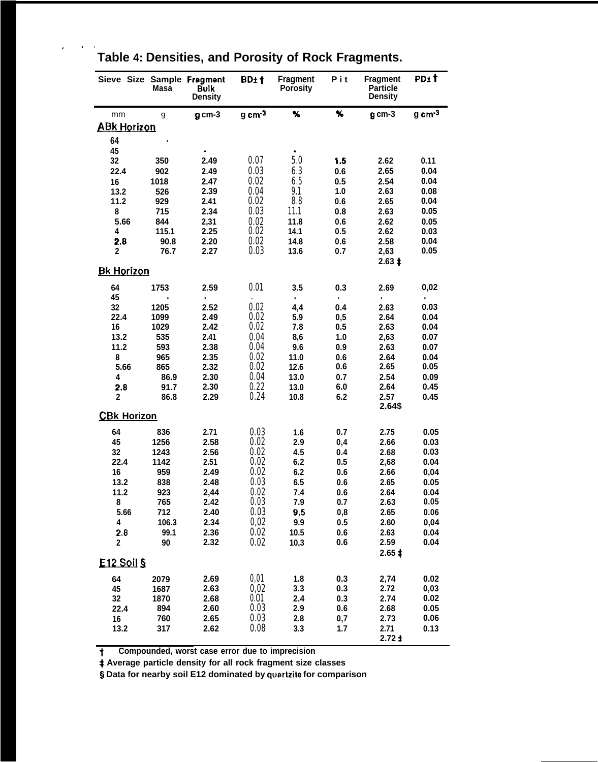|                    | Masa        | Sieve Size Sample Fragment<br><b>Bulk</b><br><b>Density</b> | BD±†   | <b>Fragment</b><br><b>Porosity</b> | Pit        | <b>Fragment</b><br><b>Particle</b><br>Density | PD± t        |
|--------------------|-------------|-------------------------------------------------------------|--------|------------------------------------|------------|-----------------------------------------------|--------------|
| mm                 | 9           | $g$ cm-3                                                    | g cm-3 | %                                  | ⅍          | g cm-3                                        | g cm-3       |
| <b>ABK Horizon</b> |             |                                                             |        |                                    |            |                                               |              |
| 64                 |             |                                                             |        |                                    |            |                                               |              |
| 45                 |             |                                                             |        |                                    |            |                                               |              |
| 32                 | 350         | 2.49                                                        | 0.07   | 5.0                                | 1.5        | 2.62                                          | 0.11         |
| 22.4               | 902         | 2.49                                                        | 0.03   | 6.3                                | 0.6        | 2.65                                          | 0.04         |
| 16                 | 1018        | 2.47                                                        | 0.02   | 6.5                                | 0.5        | 2.54                                          | 0.04         |
| 13.2               | 526         | 2.39                                                        | 0.04   | 9.1                                | 1.0        | 2.63                                          | 0.08         |
| 11.2               | 929         | 2.41                                                        | 0.02   | 8.8                                | 0.6        | 2.65                                          | 0.04         |
| 8                  | 715         | 2.34                                                        | 0.03   | 11.1                               | 0.8        | 2.63                                          | 0.05         |
| 5.66               | 844         | 2,31                                                        | 0.02   | 11.8                               | 0.6        | 2.62                                          | 0.05         |
| 4                  | 115.1       | 2.25                                                        | 0.02   | 14.1                               | 0.5        | 2.62                                          | 0.03         |
| 2.8                | 90.8        | 2.20                                                        | 0.02   | 14.8                               | 0.6        | 2.58                                          | 0.04         |
| 2                  | 76.7        | 2.27                                                        | 0.03   | 13.6                               | 0.7        | 2,63<br>$2.63 \;$ $\ddagger$                  | 0.05         |
| <b>Bk Horizon</b>  |             |                                                             |        |                                    |            |                                               |              |
| 64                 | 1753        | 2.59                                                        | 0.01   | 3.5                                | 0.3        | 2.69                                          | 0,02         |
| 45<br>32           | 1205        | 2.52                                                        | 0.02   | 4,4                                | 0.4        | 2.63                                          | 0.03         |
| 22.4               | 1099        | 2.49                                                        | 0.02   | 5.9                                | 0,5        | 2.64                                          | 0.04         |
| 16                 | 1029        | 2.42                                                        | 0.02   | 7.8                                | 0.5        | 2.63                                          | 0.04         |
| 13.2               | 535         | 2.41                                                        | 0.04   | 8,6                                | 1.0        | 2,63                                          | 0.07         |
| 11.2               | 593         | 2.38                                                        | 0.04   | 9.6                                | 0.9        | 2.63                                          | 0.07         |
| 8                  | 965         | 2.35                                                        | 0.02   | 11.0                               | 0.6        | 2.64                                          | 0.04         |
| 5.66               | 865         | 2.32                                                        | 0.02   | 12.6                               | 0.6        | 2.65                                          | 0.05         |
| 4                  | 86.9        | 2.30                                                        | 0.04   | 13.0                               | 0.7        | 2.54                                          | 0.09         |
| 2.8                | 91.7        | 2.30                                                        | 0.22   | 13.0                               | 6.0        | 2.64                                          | 0.45         |
| 2                  | 86.8        | 2.29                                                        | 0.24   | 10.8                               | 6.2        | 2.57                                          | 0.45         |
| <b>CBk Horizon</b> |             |                                                             |        |                                    |            | 2.64\$                                        |              |
|                    |             | 2.71                                                        | 0.03   |                                    |            |                                               |              |
| 64<br>45           | 836<br>1256 | 2.58                                                        | 0.02   | 1.6<br>2.9                         | 0.7        | 2.75<br>2.66                                  | 0.05<br>0.03 |
| 32                 | 1243        | 2.56                                                        | 0.02   | 4.5                                | 0,4<br>0.4 | 2.68                                          | 0.03         |
| 22.4               | 1142        | 2.51                                                        | 0.02   | 6.2                                | 0.5        | 2,68                                          | 0.04         |
| 16                 | 959         | 2.49                                                        | 0.02   | 6.2                                | 0.6        | 2.66                                          | 0,04         |
| 13.2               | 838         | 2.48                                                        | 0.03   | 6.5                                | 0.6        | 2.65                                          | 0.05         |
| 11.2               | 923         | 2,44                                                        | 0.02   | 7.4                                | 0.6        | 2.64                                          | 0.04         |
| 8                  | 765         | 2.42                                                        | 0.03   | 7.9                                | 0.7        | 2.63                                          | 0.05         |
| 5.66               | 712         | 2.40                                                        | 0.03   | 9.5                                | 0,8        | 2.65                                          | 0.06         |
| 4                  | 106.3       | 2.34                                                        | 0,02   | 9.9                                | 0.5        | 2.60                                          | 0,04         |
| 2.8                | 99.1        | 2.36                                                        | 0.02   | 10.5                               | 0.6        | 2.63                                          | 0.04         |
| 2                  | 90          | 2.32                                                        | 0.02   | 10,3                               | 0.6        | 2.59                                          | 0.04         |
| $E12$ Soil §       |             |                                                             |        |                                    |            | $2.65 \;$ ‡                                   |              |
|                    |             |                                                             |        |                                    |            |                                               |              |
| 64                 | 2079        | 2.69                                                        | 0,01   | 1.8                                | 0.3        | 2,74                                          | 0.02         |
| 45                 | 1687        | 2.63                                                        | 0,02   | 3.3                                | 0.3        | 2.72                                          | 0,03         |
| 32                 | 1870        | 2.68                                                        | 0.01   | 2.4                                | 0.3        | 2.74                                          | 0.02         |
| 22.4               | 894         | 2.60                                                        | 0.03   | 2.9                                | 0.6        | 2.68                                          | 0.05         |
| 16                 | 760         | 2.65                                                        | 0.03   | 2.8                                | 0,7        | 2.73                                          | 0.06         |
| 13.2               | 317         | 2.62                                                        | 0.08   | 3.3                                | 1.7        | 2.71<br>2.72 f                                | 0.13         |

## **Table 4: Densities, and Porosity of Rock Fragments.**

**.**<br>P<sub>I</sub>II

t **Compounded, worst case error due to imprecision**

**\$ Average particle density for all rock fragment size classes**

**~ Data for nearby soil E12 dominated by quarlzite for comparison**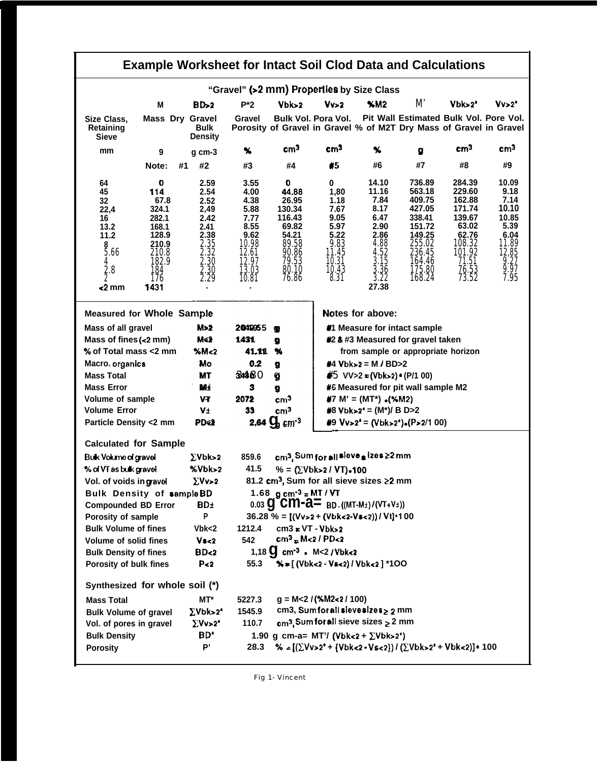| <b>Example Worksheet for Intact Soil Clod Data and Calculations</b>                              |                                                                                                       |                                                                                              |                                                                                                   |                                                                                                        |                                                                                              |                                                                                                                |                                                                                                                      |                                                                                                                 |                                                                                                   |  |  |  |
|--------------------------------------------------------------------------------------------------|-------------------------------------------------------------------------------------------------------|----------------------------------------------------------------------------------------------|---------------------------------------------------------------------------------------------------|--------------------------------------------------------------------------------------------------------|----------------------------------------------------------------------------------------------|----------------------------------------------------------------------------------------------------------------|----------------------------------------------------------------------------------------------------------------------|-----------------------------------------------------------------------------------------------------------------|---------------------------------------------------------------------------------------------------|--|--|--|
|                                                                                                  |                                                                                                       |                                                                                              |                                                                                                   |                                                                                                        |                                                                                              | "Gravel" (>2 mm) Properties by Size Class                                                                      |                                                                                                                      |                                                                                                                 |                                                                                                   |  |  |  |
|                                                                                                  | М                                                                                                     | BD > 2                                                                                       | $P^*2$                                                                                            | $Vb$ <sub><math>&gt;2</math></sub>                                                                     | Vv>2                                                                                         | <b>%M2</b>                                                                                                     | M'                                                                                                                   | $Vb$ k> $2^*$                                                                                                   | Vv>2*                                                                                             |  |  |  |
| Size Class.<br>Retaining<br>Sieve                                                                | <b>Mass Dry Gravel</b>                                                                                | Bulk<br><b>Density</b>                                                                       | Gravel                                                                                            |                                                                                                        | <b>Bulk Vol. Pora Vol.</b>                                                                   |                                                                                                                | Pit Wall Estimated Bulk Vol. Pore Vol.<br>Porosity of Gravel in Gravel % of M2T Dry Mass of Gravel in Gravel         |                                                                                                                 |                                                                                                   |  |  |  |
| mm                                                                                               | 9                                                                                                     | $g$ cm-3                                                                                     | У.                                                                                                | cm <sup>3</sup>                                                                                        | cm <sup>3</sup>                                                                              | x                                                                                                              | g                                                                                                                    | cm <sup>3</sup>                                                                                                 | cm <sup>3</sup>                                                                                   |  |  |  |
|                                                                                                  | Note:                                                                                                 | #2<br>#1                                                                                     | #3                                                                                                | #4                                                                                                     | #5                                                                                           | #6                                                                                                             | #7                                                                                                                   | #8                                                                                                              | #9                                                                                                |  |  |  |
| 64<br>45<br>32<br>22,4<br>16<br>13.2<br>11.2<br>$rac{8}{5.66}$<br>4<br>$\frac{2}{2}$ .8<br><2 mm | o<br>114<br>67.8<br>324.1<br>282.1<br>168.1<br>128.9<br>210.9<br>210.8<br>182.9<br>184<br>176<br>1431 | 2.59<br>2.54<br>2.52<br>2,49<br>2.42<br>2.41<br>2.38<br>2.35<br>2.32<br>2.30<br>2.30<br>2.29 | 3.55<br>4.00<br>4.38<br>5.88<br>7.77<br>8.55<br>9.62<br>10.98<br>12.61<br>12.97<br>13.03<br>10.81 | 0<br>44.88<br>26.95<br>130.34<br>116.43<br>69.82<br>54.21<br>89.58<br>90.86<br>79.53<br>80.10<br>76.86 | 0<br>1,80<br>1.18<br>7.67<br>9.05<br>5.97<br>5.22<br>9.83<br>11.45<br>10.31<br>10.43<br>8.31 | 14.10<br>11.16<br>7.84<br>8.17<br>6.47<br>2.90<br>2.86<br>4.88<br>4.52<br>3.15<br>$\frac{3.36}{3.22}$<br>27.38 | 736.89<br>563.18<br>409.75<br>427.05<br>338.41<br>151.72<br>149.25<br>255.02<br>236.45<br>164.46<br>175.80<br>168.24 | 284.39<br>229.60<br>162.88<br>171.74<br>139.67<br>63.02<br>62.76<br>108.32<br>101.92<br>71.51<br>76.53<br>73.52 | 10.09<br>9.18<br>7.14<br>10.10<br>10.85<br>5.39<br>6.04<br>11.89<br>12,85<br>9.27<br>9.97<br>7.95 |  |  |  |
|                                                                                                  | Notes for above:<br><b>Measured for Whole Sample</b>                                                  |                                                                                              |                                                                                                   |                                                                                                        |                                                                                              |                                                                                                                |                                                                                                                      |                                                                                                                 |                                                                                                   |  |  |  |
| Mass of all gravel                                                                               |                                                                                                       | M>2                                                                                          | 2049955                                                                                           | Φ                                                                                                      |                                                                                              |                                                                                                                | #1 Measure for intact sample                                                                                         |                                                                                                                 |                                                                                                   |  |  |  |
| Mass of fines (<2 mm)                                                                            |                                                                                                       | M<2                                                                                          | 1431                                                                                              | g                                                                                                      |                                                                                              |                                                                                                                | #2 & #3 Measured for gravel taken                                                                                    |                                                                                                                 |                                                                                                   |  |  |  |
| % of Total mass <2 mm                                                                            |                                                                                                       | M <sub>2</sub>                                                                               | 41.111                                                                                            | %                                                                                                      |                                                                                              |                                                                                                                | from sample or appropriate horizon                                                                                   |                                                                                                                 |                                                                                                   |  |  |  |
| Macro. organics                                                                                  |                                                                                                       | Mo                                                                                           | 0.2                                                                                               | g                                                                                                      |                                                                                              | #4 $Vb$ k>2 = M / BD>2                                                                                         |                                                                                                                      |                                                                                                                 |                                                                                                   |  |  |  |
| <b>Mass Total</b>                                                                                |                                                                                                       | <b>MT</b>                                                                                    | 3480                                                                                              | g                                                                                                      |                                                                                              | #5 VV>2 = (Vbk>2) $*(P/1 00)$                                                                                  |                                                                                                                      |                                                                                                                 |                                                                                                   |  |  |  |
| <b>Mass Error</b>                                                                                |                                                                                                       | Mi                                                                                           | 3                                                                                                 | #6 Measured for pit wall sample M2<br>g                                                                |                                                                                              |                                                                                                                |                                                                                                                      |                                                                                                                 |                                                                                                   |  |  |  |
| Volume of sample                                                                                 |                                                                                                       | VŦ                                                                                           | 2072                                                                                              | cm <sup>3</sup>                                                                                        | #7 M' = (MT*) $\bullet$ (%M2)                                                                |                                                                                                                |                                                                                                                      |                                                                                                                 |                                                                                                   |  |  |  |
| <b>Volume Error</b>                                                                              |                                                                                                       | V±                                                                                           | 33                                                                                                | cm <sup>3</sup>                                                                                        | #8 Vbk>2* = (M*)/ B D>2                                                                      |                                                                                                                |                                                                                                                      |                                                                                                                 |                                                                                                   |  |  |  |
| Particle Density <2 mm                                                                           |                                                                                                       | PD<2                                                                                         | 2,64 $Q_{\rm s}$ cm <sup>-3</sup><br>#9 $Vv>2^* = (Vb k>2^*) \cdot (P>2/100)$                     |                                                                                                        |                                                                                              |                                                                                                                |                                                                                                                      |                                                                                                                 |                                                                                                   |  |  |  |
| <b>Calculated for Sample</b>                                                                     |                                                                                                       |                                                                                              |                                                                                                   |                                                                                                        |                                                                                              |                                                                                                                |                                                                                                                      |                                                                                                                 |                                                                                                   |  |  |  |
| <b>Buk Volume of gravel</b>                                                                      |                                                                                                       | $\Sigma$ Vbk>2                                                                               | 859.6                                                                                             |                                                                                                        |                                                                                              | cm <sup>3</sup> , Sum for all sieve s izes ≥2 mm                                                               |                                                                                                                      |                                                                                                                 |                                                                                                   |  |  |  |
| % of VT as bulk gravel                                                                           |                                                                                                       | %Vbk>2                                                                                       | 41.5                                                                                              |                                                                                                        | % = $(\Sigma$ Vbk>2 / VT)-100                                                                |                                                                                                                |                                                                                                                      |                                                                                                                 |                                                                                                   |  |  |  |
| Vol. of voids in grave                                                                           |                                                                                                       | $\Sigma Vv>2$                                                                                |                                                                                                   |                                                                                                        |                                                                                              | 81.2 cm <sup>3</sup> , Sum for all sieve sizes ≥2 mm                                                           |                                                                                                                      |                                                                                                                 |                                                                                                   |  |  |  |
| <b>Bulk Density of sample BD</b>                                                                 |                                                                                                       |                                                                                              |                                                                                                   | 1.68 g cm <sup>-3</sup> = MT / VT                                                                      |                                                                                              |                                                                                                                |                                                                                                                      |                                                                                                                 |                                                                                                   |  |  |  |
| <b>Compounded BD Error</b>                                                                       |                                                                                                       | BD±                                                                                          |                                                                                                   |                                                                                                        |                                                                                              | 0.03 $Q$ CM- $d =$ BD. ((MT-M <sub>1</sub> )/(VT+V <sub>1</sub> ))                                             |                                                                                                                      |                                                                                                                 |                                                                                                   |  |  |  |
| Porosity of sample                                                                               |                                                                                                       | P                                                                                            |                                                                                                   |                                                                                                        |                                                                                              | $36.28 \% = [(Vv>2 + (Vbkc2-Vs<2)) / Vt] \cdot 100$                                                            |                                                                                                                      |                                                                                                                 |                                                                                                   |  |  |  |
| <b>Bulk Volume of fines</b>                                                                      |                                                                                                       | Vbk<2                                                                                        | 1212.4                                                                                            | $cm3 = VT - Vbks2$                                                                                     |                                                                                              |                                                                                                                |                                                                                                                      |                                                                                                                 |                                                                                                   |  |  |  |
| Volume of solid fines                                                                            |                                                                                                       | V <sub>2</sub>                                                                               | 542                                                                                               | cm <sup>3</sup> = M<2 / PD<2                                                                           |                                                                                              |                                                                                                                |                                                                                                                      |                                                                                                                 |                                                                                                   |  |  |  |
| <b>Bulk Density of fines</b>                                                                     |                                                                                                       | BD<2                                                                                         | 55.3                                                                                              |                                                                                                        | 1,18 $\bf{Q}$ cm <sup>-3</sup> = M<2 / Vbk<2                                                 | %=[(Vbk<2 - Vs<2)/Vbk<2]*100                                                                                   |                                                                                                                      |                                                                                                                 |                                                                                                   |  |  |  |
| Porosity of bulk fines                                                                           |                                                                                                       | P <sub>2</sub>                                                                               |                                                                                                   |                                                                                                        |                                                                                              |                                                                                                                |                                                                                                                      |                                                                                                                 |                                                                                                   |  |  |  |
| Synthesized for whole soil (*)                                                                   |                                                                                                       |                                                                                              |                                                                                                   |                                                                                                        |                                                                                              |                                                                                                                |                                                                                                                      |                                                                                                                 |                                                                                                   |  |  |  |
| $g = M < 2 / (*M2 < 2 / 100)$<br>MT*<br>5227.3<br><b>Mass Total</b>                              |                                                                                                       |                                                                                              |                                                                                                   |                                                                                                        |                                                                                              |                                                                                                                |                                                                                                                      |                                                                                                                 |                                                                                                   |  |  |  |
| <b>Bulk Volume of gravel</b>                                                                     |                                                                                                       | $\Sigma$ Vbk>2*                                                                              | 1545.9                                                                                            |                                                                                                        |                                                                                              | cm3, Sum for all sleve sizes $\geq 2$ mm                                                                       |                                                                                                                      |                                                                                                                 |                                                                                                   |  |  |  |
| Vol. of pores in gravel                                                                          |                                                                                                       | $\Sigma Vv > 2^*$                                                                            | 110.7                                                                                             |                                                                                                        |                                                                                              | $cm3$ , Sum for all sieve sizes $\geq$ 2 mm                                                                    |                                                                                                                      |                                                                                                                 |                                                                                                   |  |  |  |
| <b>Bulk Density</b>                                                                              |                                                                                                       | BD <sup>*</sup>                                                                              |                                                                                                   |                                                                                                        |                                                                                              | 1.90 g cm-a= MT'/ (Vbk<2 + $\Sigma$ Vbk>2 <sup>*</sup> )                                                       |                                                                                                                      |                                                                                                                 |                                                                                                   |  |  |  |
| <b>Porosity</b>                                                                                  |                                                                                                       | Þ,                                                                                           | 28.3                                                                                              |                                                                                                        |                                                                                              |                                                                                                                | % = $[(\Sigma Vv>2^* + {\text{Vbk}}<2 \cdot Vs<2)})/(\Sigma Vbks2^* + Vbkc2)*100$                                    |                                                                                                                 |                                                                                                   |  |  |  |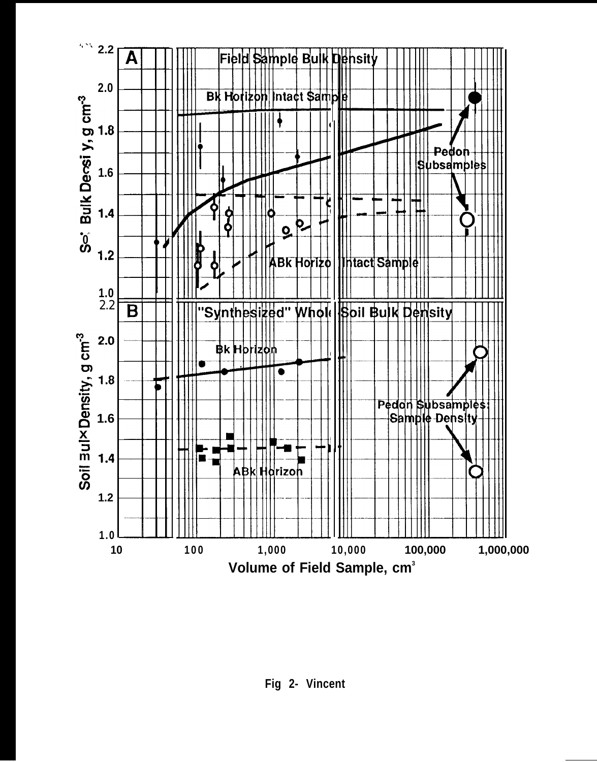

**Fig 2- Vincent**